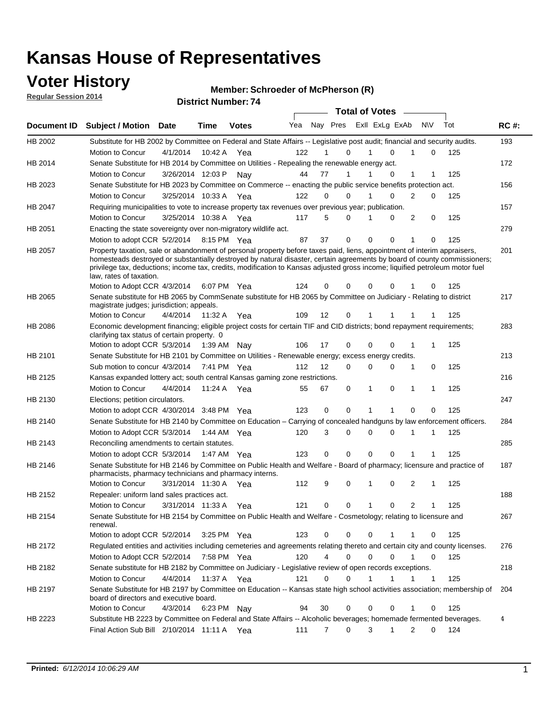### **Voter History**

**Regular Session 2014**

#### **Member: Schroeder of McPherson (R)**

|                |                                                                                                                                                                                                                                                                                                                                                                                                                  |                       |             | DISTICT MAILIDEL, 14 |     |                   |                     | <b>Total of Votes</b> |             |                |                  |     |             |
|----------------|------------------------------------------------------------------------------------------------------------------------------------------------------------------------------------------------------------------------------------------------------------------------------------------------------------------------------------------------------------------------------------------------------------------|-----------------------|-------------|----------------------|-----|-------------------|---------------------|-----------------------|-------------|----------------|------------------|-----|-------------|
|                | Document ID Subject / Motion                                                                                                                                                                                                                                                                                                                                                                                     | <b>Date</b>           | Time        | <b>Votes</b>         | Yea |                   | Nay Pres            |                       |             | Exll ExLg ExAb | <b>NV</b>        | Tot | <b>RC#:</b> |
| HB 2002        | Substitute for HB 2002 by Committee on Federal and State Affairs -- Legislative post audit; financial and security audits.                                                                                                                                                                                                                                                                                       |                       |             |                      |     |                   |                     |                       |             |                |                  |     | 193         |
|                | Motion to Concur                                                                                                                                                                                                                                                                                                                                                                                                 | 4/1/2014              |             | 10:42 A Yea          | 122 |                   | 0                   |                       |             | $\Omega$       | 0                | 125 |             |
| HB 2014        | Senate Substitute for HB 2014 by Committee on Utilities - Repealing the renewable energy act.                                                                                                                                                                                                                                                                                                                    |                       |             |                      |     |                   |                     |                       |             |                |                  |     | 172         |
|                | Motion to Concur                                                                                                                                                                                                                                                                                                                                                                                                 | 3/26/2014 12:03 P     |             | Nav                  | 44  | 77                | 1                   |                       |             | 0              | 1<br>1           | 125 |             |
| HB 2023        | Senate Substitute for HB 2023 by Committee on Commerce -- enacting the public service benefits protection act.                                                                                                                                                                                                                                                                                                   |                       |             |                      |     |                   |                     |                       |             |                |                  |     | 156         |
|                | Motion to Concur                                                                                                                                                                                                                                                                                                                                                                                                 | 3/25/2014 10:33 A Yea |             |                      | 122 | $\Omega$          | 0                   |                       |             | $\Omega$       | 2<br>0           | 125 |             |
| HB 2047        | Requiring municipalities to vote to increase property tax revenues over previous year; publication.                                                                                                                                                                                                                                                                                                              |                       |             |                      |     |                   |                     |                       |             |                |                  |     | 157         |
|                | Motion to Concur                                                                                                                                                                                                                                                                                                                                                                                                 | 3/25/2014 10:38 A     |             | Yea                  | 117 | 5                 | 0                   |                       |             | 0              | 2<br>0           | 125 |             |
| HB 2051        | Enacting the state sovereignty over non-migratory wildlife act.                                                                                                                                                                                                                                                                                                                                                  |                       |             |                      |     |                   |                     |                       |             |                |                  |     | 279         |
|                | Motion to adopt CCR 5/2/2014                                                                                                                                                                                                                                                                                                                                                                                     |                       |             | 8:15 PM Yea          | 87  | 37                | 0                   |                       | $\Omega$    | 0              | 1<br>0           | 125 |             |
| HB 2057        | Property taxation, sale or abandonment of personal property before taxes paid, liens, appointment of interim appraisers,<br>homesteads destroyed or substantially destroyed by natural disaster, certain agreements by board of county commissioners;<br>privilege tax, deductions; income tax, credits, modification to Kansas adjusted gross income; liquified petroleum motor fuel<br>law, rates of taxation. |                       |             |                      |     |                   |                     |                       |             |                |                  |     | 201         |
|                | Motion to Adopt CCR 4/3/2014                                                                                                                                                                                                                                                                                                                                                                                     |                       |             | 6:07 PM Yea          | 124 | 0                 | 0                   |                       | 0           | 0              | 0                | 125 |             |
| <b>HB 2065</b> | Senate substitute for HB 2065 by CommSenate substitute for HB 2065 by Committee on Judiciary - Relating to district<br>magistrate judges; jurisdiction; appeals.                                                                                                                                                                                                                                                 |                       |             |                      |     |                   |                     |                       |             |                |                  |     | 217         |
|                | Motion to Concur                                                                                                                                                                                                                                                                                                                                                                                                 | 4/4/2014 11:32 A Yea  |             |                      | 109 | $12 \overline{ }$ | $\mathbf 0$         |                       | 1           | 1              | -1<br>-1         | 125 |             |
| HB 2086        | Economic development financing; eligible project costs for certain TIF and CID districts; bond repayment requirements;<br>clarifying tax status of certain property. 0                                                                                                                                                                                                                                           |                       |             |                      |     |                   |                     |                       |             |                |                  |     | 283         |
|                | Motion to adopt CCR 5/3/2014 1:39 AM Nay                                                                                                                                                                                                                                                                                                                                                                         |                       |             |                      | 106 | 17                | 0                   |                       | 0           | 0              | 1<br>1           | 125 |             |
| HB 2101        | Senate Substitute for HB 2101 by Committee on Utilities - Renewable energy; excess energy credits.                                                                                                                                                                                                                                                                                                               |                       |             |                      |     |                   |                     |                       |             |                |                  |     | 213         |
|                | Sub motion to concur 4/3/2014                                                                                                                                                                                                                                                                                                                                                                                    |                       |             | 7:41 PM Yea          | 112 | $12 \overline{ }$ | 0                   |                       | 0           | 0              | 1<br>0           | 125 |             |
| HB 2125        | Kansas expanded lottery act; south central Kansas gaming zone restrictions.                                                                                                                                                                                                                                                                                                                                      |                       |             |                      |     |                   |                     |                       |             |                |                  |     | 216         |
|                | Motion to Concur                                                                                                                                                                                                                                                                                                                                                                                                 | 4/4/2014              | 11:24 A     | Yea                  | 55  | 67                | 0                   |                       | 1           | 0              | 1<br>$\mathbf 1$ | 125 |             |
| HB 2130        | Elections; petition circulators.                                                                                                                                                                                                                                                                                                                                                                                 |                       |             |                      |     |                   |                     |                       |             |                |                  |     | 247         |
|                | Motion to adopt CCR 4/30/2014 3:48 PM Yea                                                                                                                                                                                                                                                                                                                                                                        |                       |             |                      | 123 | 0                 | 0                   |                       | 1           | 1              | $\mathbf 0$<br>0 | 125 |             |
| HB 2140        | Senate Substitute for HB 2140 by Committee on Education – Carrying of concealed handguns by law enforcement officers.                                                                                                                                                                                                                                                                                            |                       |             |                      |     |                   |                     |                       |             |                |                  |     | 284         |
|                | Motion to Adopt CCR 5/3/2014                                                                                                                                                                                                                                                                                                                                                                                     |                       |             | 1:44 AM Yea          | 120 |                   | 3<br>0              |                       | 0           | 0              | 1<br>1           | 125 |             |
| HB 2143        | Reconciling amendments to certain statutes.                                                                                                                                                                                                                                                                                                                                                                      |                       |             |                      |     |                   |                     |                       |             |                |                  |     | 285         |
|                | Motion to adopt CCR 5/3/2014                                                                                                                                                                                                                                                                                                                                                                                     |                       |             | 1:47 AM Yea          | 123 | 0                 | 0                   |                       | 0           | 0              | 1<br>1           | 125 |             |
| HB 2146        | Senate Substitute for HB 2146 by Committee on Public Health and Welfare - Board of pharmacy; licensure and practice of<br>pharmacists, pharmacy technicians and pharmacy interns.                                                                                                                                                                                                                                |                       |             |                      |     |                   |                     |                       |             |                |                  |     | 187         |
|                | Motion to Concur                                                                                                                                                                                                                                                                                                                                                                                                 | 3/31/2014 11:30 A     |             | Yea                  | 112 | 9                 | 0                   |                       | 1           | $\mathbf 0$    | 2<br>1           | 125 |             |
| <b>HB 2152</b> | Repealer: uniform land sales practices act.                                                                                                                                                                                                                                                                                                                                                                      |                       |             |                      |     |                   |                     |                       |             |                |                  |     | 188         |
|                | <b>Motion to Concur</b>                                                                                                                                                                                                                                                                                                                                                                                          | 3/31/2014 11:33 A     |             | Yea                  | 121 | 0                 | 0                   |                       | 1           | 0              | 2<br>1           | 125 |             |
| HB 2154        | Senate Substitute for HB 2154 by Committee on Public Health and Welfare - Cosmetology; relating to licensure and<br>renewal.                                                                                                                                                                                                                                                                                     |                       |             |                      |     |                   |                     |                       |             |                |                  |     | 267         |
|                | Motion to adopt CCR 5/2/2014 3:25 PM Yea                                                                                                                                                                                                                                                                                                                                                                         |                       |             |                      | 123 |                   | $\Omega$<br>0       |                       | 0           |                | 0                | 125 |             |
| HB 2172        | Regulated entities and activities including cemeteries and agreements relating thereto and certain city and county licenses.                                                                                                                                                                                                                                                                                     |                       |             |                      |     |                   |                     |                       |             |                |                  |     | 276         |
|                | Motion to Adopt CCR 5/2/2014                                                                                                                                                                                                                                                                                                                                                                                     |                       | 7:58 PM Yea |                      | 120 |                   | 4<br>$\mathbf 0$    |                       | $\mathbf 0$ | $\mathbf 0$    | 1<br>0           | 125 |             |
| HB 2182        | Senate substitute for HB 2182 by Committee on Judiciary - Legislative review of open records exceptions.                                                                                                                                                                                                                                                                                                         |                       |             |                      |     |                   |                     |                       |             |                |                  |     | 218         |
|                | Motion to Concur                                                                                                                                                                                                                                                                                                                                                                                                 | 4/4/2014 11:37 A Yea  |             |                      | 121 | 0                 | $\mathbf 0$         |                       | 1           | 1              | 1<br>$\mathbf 1$ | 125 |             |
| HB 2197        | Senate Substitute for HB 2197 by Committee on Education -- Kansas state high school activities association; membership of<br>board of directors and executive board.                                                                                                                                                                                                                                             |                       |             |                      |     |                   |                     |                       |             |                |                  |     | 204         |
|                | Motion to Concur                                                                                                                                                                                                                                                                                                                                                                                                 | 4/3/2014              |             | 6:23 PM Nay          | 94  | 30                | 0                   |                       | 0           | 0              | 1<br>0           | 125 |             |
| HB 2223        | Substitute HB 2223 by Committee on Federal and State Affairs -- Alcoholic beverages; homemade fermented beverages.                                                                                                                                                                                                                                                                                               |                       |             |                      |     |                   |                     |                       |             |                |                  |     | 4           |
|                | Final Action Sub Bill 2/10/2014 11:11 A Yea                                                                                                                                                                                                                                                                                                                                                                      |                       |             |                      | 111 |                   | $\overline{7}$<br>0 |                       | 3           | 1              | 2<br>0           | 124 |             |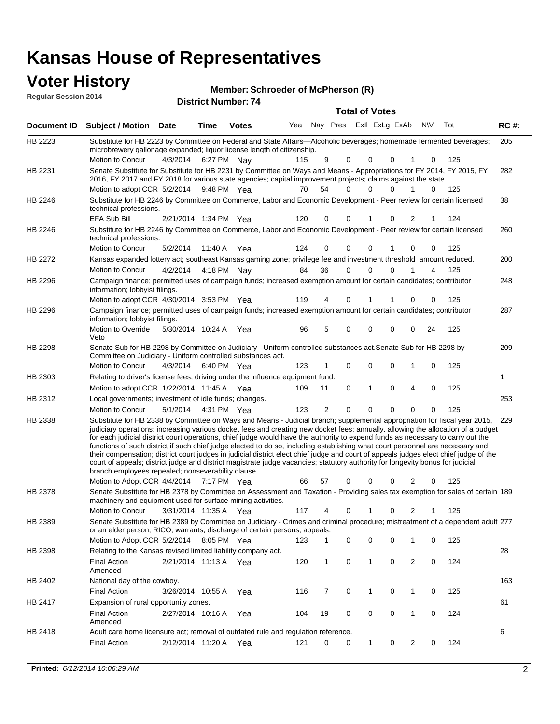| <b>Voter History</b><br><b>Regular Session 2014</b> |                                                                                                                                                                                                                                                            |                       |             | <b>District Number: 74</b> | Member: Schroeder of McPherson (R) |                |             |                       |                |          |           |     |             |
|-----------------------------------------------------|------------------------------------------------------------------------------------------------------------------------------------------------------------------------------------------------------------------------------------------------------------|-----------------------|-------------|----------------------------|------------------------------------|----------------|-------------|-----------------------|----------------|----------|-----------|-----|-------------|
|                                                     |                                                                                                                                                                                                                                                            |                       |             |                            |                                    |                |             | <b>Total of Votes</b> |                |          |           |     |             |
| Document ID                                         | <b>Subject / Motion Date</b>                                                                                                                                                                                                                               |                       | Time        | <b>Votes</b>               | Yea                                |                | Nav Pres    |                       | Exll ExLg ExAb |          | <b>NV</b> | Tot | <b>RC#:</b> |
| <b>HB 2223</b>                                      | Substitute for HB 2223 by Committee on Federal and State Affairs—Alcoholic beverages; homemade fermented beverages;<br>microbrewery gallonage expanded; liquor license length of citizenship.                                                              |                       |             |                            |                                    |                |             |                       |                |          |           |     | 205         |
| HB 2231                                             | Motion to Concur<br>Senate Substitute for Substitute for HB 2231 by Committee on Ways and Means - Appropriations for FY 2014, FY 2015, FY<br>2016, FY 2017 and FY 2018 for various state agencies; capital improvement projects; claims against the state. | 4/3/2014              | 6:27 PM Nay |                            | 115                                | 9              | $\Omega$    | 0                     | 0              | 1        | 0         | 125 | 282         |
| <b>HB 2246</b>                                      | Motion to adopt CCR 5/2/2014 9:48 PM Yea<br>Substitute for HB 2246 by Committee on Commerce, Labor and Economic Development - Peer review for certain licensed<br>technical professions.                                                                   |                       |             |                            | 70                                 | 54             | $\Omega$    | $\Omega$              | 0              |          | 0         | 125 | 38          |
|                                                     | <b>EFA Sub Bill</b>                                                                                                                                                                                                                                        | 2/21/2014 1:34 PM Yea |             |                            | 120                                | 0              | 0           |                       | 0              | 2        |           | 124 |             |
| HB 2246                                             | Substitute for HB 2246 by Committee on Commerce, Labor and Economic Development - Peer review for certain licensed<br>technical professions.                                                                                                               |                       |             |                            |                                    |                |             |                       |                |          |           |     | 260         |
|                                                     | Motion to Concur                                                                                                                                                                                                                                           | 5/2/2014              | 11:40 A Yea |                            | 124                                | 0              | 0           | 0                     |                | $\Omega$ | 0         | 125 |             |
| <b>HB 2272</b>                                      | Kansas expanded lottery act; southeast Kansas gaming zone; privilege fee and investment threshold amount reduced.                                                                                                                                          |                       |             |                            |                                    |                |             |                       |                |          |           |     | 200         |
|                                                     | Motion to Concur                                                                                                                                                                                                                                           | 4/2/2014              | 4:18 PM Nav |                            | 84                                 | 36             | $\Omega$    | $\Omega$              | 0              |          | Δ         | 125 |             |
| HB 2296                                             | Campaign finance; permitted uses of campaign funds; increased exemption amount for certain candidates; contributor<br>information; lobbyist filings.                                                                                                       |                       |             |                            |                                    |                |             |                       |                |          |           |     | 248         |
|                                                     | Motion to adopt CCR 4/30/2014 3:53 PM Yea                                                                                                                                                                                                                  |                       |             |                            | 119                                |                | $\Omega$    |                       |                | 0        | 0         | 125 |             |
| <b>HB 2296</b>                                      | Campaign finance; permitted uses of campaign funds; increased exemption amount for certain candidates; contributor<br>information; lobbyist filings.                                                                                                       |                       |             |                            |                                    |                |             |                       |                |          |           |     | 287         |
|                                                     | Motion to Override<br>Veto                                                                                                                                                                                                                                 | 5/30/2014 10:24 A Yea |             |                            | 96                                 | 5              | $\Omega$    | 0                     | 0              | $\Omega$ | 24        | 125 |             |
| <b>HB 2298</b>                                      | Senate Sub for HB 2298 by Committee on Judiciary - Uniform controlled substances act. Senate Sub for HB 2298 by<br>Committee on Judiciary - Uniform controlled substances act.                                                                             |                       |             |                            |                                    |                |             |                       |                |          |           |     | 209         |
|                                                     | Motion to Concur                                                                                                                                                                                                                                           | 4/3/2014              | 6:40 PM Yea |                            | 123                                |                | 0           | 0                     | 0              | 1        | 0         | 125 |             |
| HB 2303                                             | Relating to driver's license fees; driving under the influence equipment fund.                                                                                                                                                                             |                       |             |                            |                                    |                |             |                       |                |          |           |     | 1           |
|                                                     | Motion to adopt CCR 1/22/2014 11:45 A Yea                                                                                                                                                                                                                  |                       |             |                            | 109                                | 11             | $\mathbf 0$ | 1                     | $\Omega$       | 4        | $\Omega$  | 125 |             |
| HB 2312                                             | Local governments; investment of idle funds; changes.                                                                                                                                                                                                      |                       |             |                            |                                    |                |             |                       |                |          |           |     | 253         |
|                                                     | Motion to Concur                                                                                                                                                                                                                                           | 5/1/2014              | 4:31 PM Yea |                            | 123                                | $\overline{2}$ | $\Omega$    | 0                     | $\Omega$       | $\Omega$ | $\Omega$  | 125 |             |
| HB 2338                                             | Substitute for HB 2338 by Committee on Ways and Means - Judicial branch; supplemental appropriation for fiscal year 2015,                                                                                                                                  |                       |             |                            |                                    |                |             |                       |                |          |           |     | 229         |

year 2015, 229 Motion to Adopt CCR 4/4/2014 7:17 PM Yea 66 57 0 0 0 2 0 125 judiciary operations; increasing various docket fees and creating new docket fees; annually, allowing the allocation of a budget for each judicial district court operations, chief judge would have the authority to expend funds as necessary to carry out the functions of such district if such chief judge elected to do so, including establishing what court personnel are necessary and their compensation; district court judges in judicial district elect chief judge and court of appeals judges elect chief judge of the court of appeals; district judge and district magistrate judge vacancies; statutory authority for longevity bonus for judicial branch employees repealed; nonseverability clause. 7:17 PM Yea 66 57 0 0 0 2 0 Senate Substitute for HB 2378 by Committee on Assessment and Taxation - Providing sales tax exemption for sales of certain 189 HB 2378

3/31/2014 Motion to Concur Yea 125 11:35 A 117 4 0 0 21 1 machinery and equipment used for surface mining activities. Senate Substitute for HB 2389 by Committee on Judiciary - Crimes and criminal procedure; mistreatment of a dependent adult 277 Motion to Adopt CCR 5/2/2014 8:05 PM Yea 123 1 0 0 0 1 0 125 HB 2389 or an elder person; RICO; warrants; discharge of certain persons; appeals. 28 2/21/2014 Final Action Yea 124 11:13 A 120 1 0 0 20 1 HB 2398 Amended Relating to the Kansas revised limited liability company act. 163 3/26/2014 HB 2402 National day of the cowboy.

|         | <b>Final Action</b>                                                               | 3/26/2014 10:55 A |         | Yea | 116 |      |          |                |  | 125 |    |  |
|---------|-----------------------------------------------------------------------------------|-------------------|---------|-----|-----|------|----------|----------------|--|-----|----|--|
| HB 2417 | Expansion of rural opportunity zones.                                             |                   |         |     |     |      |          |                |  |     | 61 |  |
|         | <b>Final Action</b><br>Amended                                                    | 2/27/2014         | 10:16 A | Yea | 104 | - 19 | $\Omega$ | $\overline{0}$ |  | 124 |    |  |
| HB 2418 | Adult care home licensure act; removal of outdated rule and regulation reference. |                   |         |     |     |      |          |                |  |     |    |  |
|         | <b>Final Action</b>                                                               | 2/12/2014         | 11:20 A | Yea | 121 |      |          |                |  | 124 |    |  |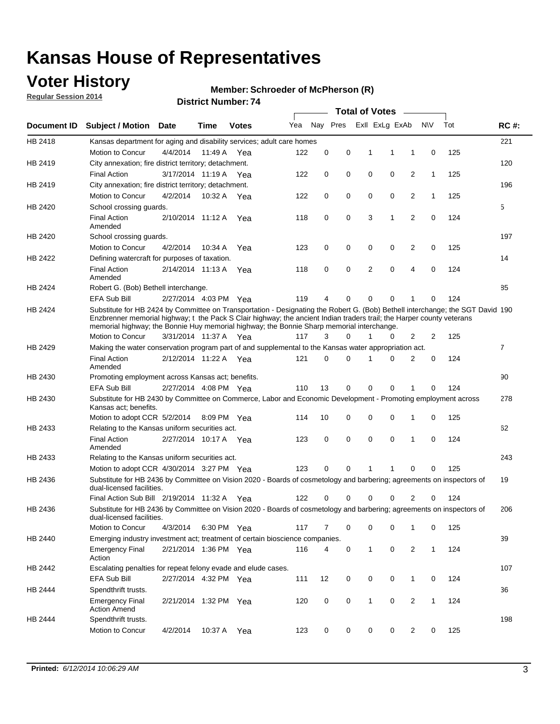### **Voter History**

**Regular Session 2014**

#### **Member: Schroeder of McPherson (R)**

|             |                                                                                                                                                                                                                                                                                                                                                      |                       |             | DISTICT MAILDEL 14 |     |          |          |              | <b>Total of Votes</b> |                |              |     |                |
|-------------|------------------------------------------------------------------------------------------------------------------------------------------------------------------------------------------------------------------------------------------------------------------------------------------------------------------------------------------------------|-----------------------|-------------|--------------------|-----|----------|----------|--------------|-----------------------|----------------|--------------|-----|----------------|
| Document ID | <b>Subject / Motion</b>                                                                                                                                                                                                                                                                                                                              | Date                  | Time        | <b>Votes</b>       | Yea |          | Nay Pres |              | Exll ExLg ExAb        |                | N\V          | Tot | <b>RC#:</b>    |
| HB 2418     | Kansas department for aging and disability services; adult care homes                                                                                                                                                                                                                                                                                |                       |             |                    |     |          |          |              |                       |                |              |     | 221            |
|             | <b>Motion to Concur</b>                                                                                                                                                                                                                                                                                                                              | 4/4/2014              | 11:49 A     | Yea                | 122 | 0        | 0        | 1            | 1                     | 1              | 0            | 125 |                |
| HB 2419     | City annexation; fire district territory; detachment.                                                                                                                                                                                                                                                                                                |                       |             |                    |     |          |          |              |                       |                |              |     | 120            |
|             | <b>Final Action</b>                                                                                                                                                                                                                                                                                                                                  | 3/17/2014 11:19 A     |             | Yea                | 122 | 0        | 0        | 0            | 0                     | $\overline{2}$ | $\mathbf{1}$ | 125 |                |
| HB 2419     | City annexation; fire district territory; detachment.                                                                                                                                                                                                                                                                                                |                       |             |                    |     |          |          |              |                       |                |              |     | 196            |
|             | Motion to Concur                                                                                                                                                                                                                                                                                                                                     | 4/2/2014              | 10:32 A     | Yea                | 122 | 0        | 0        | 0            | 0                     | $\overline{2}$ | 1            | 125 |                |
| HB 2420     | School crossing quards.                                                                                                                                                                                                                                                                                                                              |                       |             |                    |     |          |          |              |                       |                |              |     | 5              |
|             | <b>Final Action</b><br>Amended                                                                                                                                                                                                                                                                                                                       | 2/10/2014 11:12 A     |             | Yea                | 118 | 0        | 0        | 3            | 1                     | $\overline{2}$ | 0            | 124 |                |
| HB 2420     | School crossing guards.                                                                                                                                                                                                                                                                                                                              |                       |             |                    |     |          |          |              |                       |                |              |     | 197            |
|             | Motion to Concur                                                                                                                                                                                                                                                                                                                                     | 4/2/2014              | 10:34 A     | Yea                | 123 | 0        | 0        | 0            | 0                     | 2              | 0            | 125 |                |
| HB 2422     | Defining watercraft for purposes of taxation.                                                                                                                                                                                                                                                                                                        |                       |             |                    |     |          |          |              |                       |                |              |     | 14             |
|             | <b>Final Action</b><br>Amended                                                                                                                                                                                                                                                                                                                       | 2/14/2014 11:13 A     |             | Yea                | 118 | 0        | 0        | 2            | $\mathbf 0$           | $\overline{4}$ | 0            | 124 |                |
| HB 2424     | Robert G. (Bob) Bethell interchange.                                                                                                                                                                                                                                                                                                                 |                       |             |                    |     |          |          |              |                       |                |              |     | 85             |
|             | <b>EFA Sub Bill</b>                                                                                                                                                                                                                                                                                                                                  | 2/27/2014 4:03 PM Yea |             |                    | 119 | 4        | 0        | $\Omega$     | $\Omega$              | 1              | 0            | 124 |                |
| HB 2424     | Substitute for HB 2424 by Committee on Transportation - Designating the Robert G. (Bob) Bethell interchange; the SGT David 190<br>Enzbrenner memorial highway; t the Pack S Clair highway; the ancient Indian traders trail; the Harper county veterans<br>memorial highway; the Bonnie Huy memorial highway; the Bonnie Sharp memorial interchange. |                       |             |                    |     |          |          |              |                       |                |              |     |                |
|             | Motion to Concur                                                                                                                                                                                                                                                                                                                                     | 3/31/2014 11:37 A Yea |             |                    | 117 | 3        | $\Omega$ | 1            | 0                     | $\overline{2}$ | 2            | 125 |                |
| HB 2429     | Making the water conservation program part of and supplemental to the Kansas water appropriation act.                                                                                                                                                                                                                                                |                       |             |                    |     |          |          |              |                       |                |              |     | $\overline{7}$ |
|             | <b>Final Action</b><br>Amended                                                                                                                                                                                                                                                                                                                       | 2/12/2014 11:22 A Yea |             |                    | 121 | $\Omega$ | $\Omega$ | 1            | 0                     | $\overline{2}$ | $\mathbf 0$  | 124 |                |
| HB 2430     | Promoting employment across Kansas act; benefits.                                                                                                                                                                                                                                                                                                    |                       |             |                    |     |          |          |              |                       |                |              |     | 90             |
|             | <b>EFA Sub Bill</b>                                                                                                                                                                                                                                                                                                                                  | 2/27/2014 4:08 PM Yea |             |                    | 110 | 13       | 0        | $\mathbf 0$  | 0                     |                | 0            | 124 |                |
| HB 2430     | Substitute for HB 2430 by Committee on Commerce, Labor and Economic Development - Promoting employment across                                                                                                                                                                                                                                        |                       |             |                    |     |          |          |              |                       |                |              |     | 278            |
|             | Kansas act; benefits.<br>Motion to adopt CCR 5/2/2014                                                                                                                                                                                                                                                                                                |                       | 8:09 PM Yea |                    | 114 | 10       | 0        | 0            | 0                     | 1              | 0            | 125 |                |
| HB 2433     | Relating to the Kansas uniform securities act.                                                                                                                                                                                                                                                                                                       |                       |             |                    |     |          |          |              |                       |                |              |     | 62             |
|             | <b>Final Action</b><br>Amended                                                                                                                                                                                                                                                                                                                       | 2/27/2014 10:17 A Yea |             |                    | 123 | 0        | 0        | $\mathbf 0$  | $\mathbf 0$           | 1              | 0            | 124 |                |
| HB 2433     | Relating to the Kansas uniform securities act.                                                                                                                                                                                                                                                                                                       |                       |             |                    |     |          |          |              |                       |                |              |     | 243            |
|             | Motion to adopt CCR 4/30/2014 3:27 PM Yea                                                                                                                                                                                                                                                                                                            |                       |             |                    | 123 | $\Omega$ | $\Omega$ | 1            | 1                     | $\Omega$       | 0            | 125 |                |
| HB 2436     | Substitute for HB 2436 by Committee on Vision 2020 - Boards of cosmetology and barbering; agreements on inspectors of<br>dual-licensed facilities.                                                                                                                                                                                                   |                       |             |                    |     |          |          |              |                       |                |              |     | 19             |
|             | Final Action Sub Bill 2/19/2014 11:32 A                                                                                                                                                                                                                                                                                                              |                       |             | Yea                | 122 | ი        | 0        | O            | 0                     | 2              | 0            | 124 |                |
| HB 2436     | Substitute for HB 2436 by Committee on Vision 2020 - Boards of cosmetology and barbering; agreements on inspectors of<br>dual-licensed facilities.                                                                                                                                                                                                   |                       |             |                    |     |          |          |              |                       |                |              |     | 206            |
|             | Motion to Concur                                                                                                                                                                                                                                                                                                                                     | 4/3/2014              | 6:30 PM Yea |                    | 117 | 7        | 0        | 0            | 0                     | 1              | 0            | 125 |                |
| HB 2440     | Emerging industry investment act; treatment of certain bioscience companies.                                                                                                                                                                                                                                                                         |                       |             |                    |     |          |          |              |                       |                |              |     | 39             |
|             | <b>Emergency Final</b><br>Action                                                                                                                                                                                                                                                                                                                     | 2/21/2014 1:36 PM Yea |             |                    | 116 | 4        | 0        | $\mathbf{1}$ | 0                     | 2              | $\mathbf{1}$ | 124 |                |
| HB 2442     | Escalating penalties for repeat felony evade and elude cases.                                                                                                                                                                                                                                                                                        |                       |             |                    |     |          |          |              |                       |                |              |     | 107            |
|             | EFA Sub Bill                                                                                                                                                                                                                                                                                                                                         | 2/27/2014 4:32 PM Yea |             |                    | 111 | 12       | 0        | 0            | 0                     | $\mathbf{1}$   | 0            | 124 |                |
| HB 2444     | Spendthrift trusts.                                                                                                                                                                                                                                                                                                                                  |                       |             |                    |     |          |          |              |                       |                |              |     | 36             |
|             | <b>Emergency Final</b><br><b>Action Amend</b>                                                                                                                                                                                                                                                                                                        | 2/21/2014 1:32 PM Yea |             |                    | 120 | 0        | 0        | $\mathbf{1}$ | 0                     | $\overline{2}$ | $\mathbf{1}$ | 124 |                |
| HB 2444     | Spendthrift trusts.                                                                                                                                                                                                                                                                                                                                  |                       |             |                    |     |          |          |              |                       |                |              |     | 198            |
|             | Motion to Concur                                                                                                                                                                                                                                                                                                                                     | 4/2/2014              | 10:37 A Yea |                    | 123 | 0        | 0        | 0            | 0                     | $\overline{2}$ | 0            | 125 |                |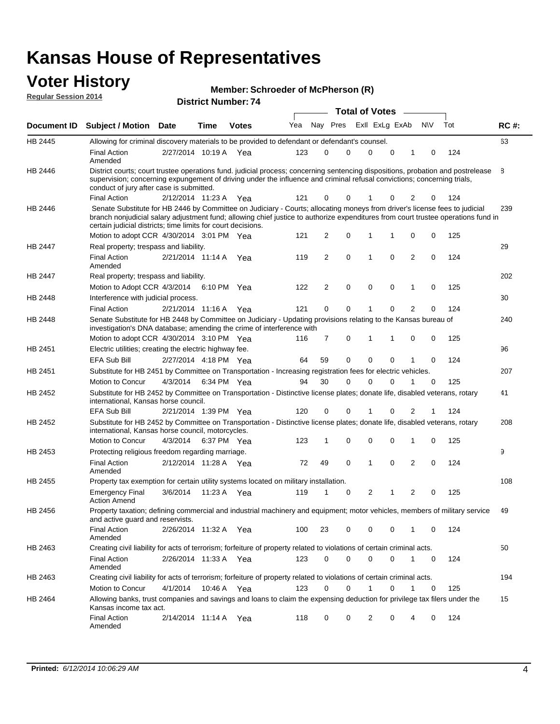#### **Voter History**

**Regular Session 2014**

| Member: Schroeder of McPherson (R) |  |
|------------------------------------|--|
|------------------------------------|--|

**Document ID Subject / Motion Date Time Votes** Yea Nay Pres ExII ExLg ExAb N\V Tot RC #: **District Number: 74 Date Votes Total of Votes Time** ExII ExLg ExAb 63 2/27/2014 Final Action Yea 124 10:19 A 123 0 0 0 10 0 HB 2445 Amended Allowing for criminal discovery materials to be provided to defendant or defendant's counsel. 8 2/12/2014 Final Action Yea 124 11:23 A 121 0 0 0 20 1 HB 2446 District courts; court trustee operations fund. judicial process; concerning sentencing dispositions, probation and postrelease supervision; concerning expungement of driving under the influence and criminal refusal convictions; concerning trials, conduct of jury after case is submitted. 239 Motion to adopt CCR 4/30/2014 3:01 PM Yea  $121 \quad 2 \quad 0 \quad 1 \quad 1 \quad 0 \quad 0 \quad 125$ HB 2446 Senate Substitute for HB 2446 by Committee on Judiciary - Courts; allocating moneys from driver's license fees to judicial branch nonjudicial salary adjustment fund; allowing chief justice to authorize expenditures from court trustee operations fund in certain judicial districts; time limits for court decisions. 29 2/21/2014 Final Action Yea 124 11:14 A 119 2 0 0 20 1 HB 2447 Amended Real property; trespass and liability. 202 Motion to Adopt CCR 4/3/2014 6:10 PM Yea  $122$  2 0 0 0 1 0 125 HB 2447 Real property; trespass and liability. 30 2/21/2014 Final Action Yea 124 HB 2448 Interference with judicial process. 11:16 A 121 0 0 0 20 1 240 Motion to adopt CCR 4/30/2014 3:10 PM Yea  $116$  7 0 1 1 0 0 125 HB 2448 Senate Substitute for HB 2448 by Committee on Judiciary - Updating provisions relating to the Kansas bureau of investigation's DNA database; amending the crime of interference with 96 2/27/2014 EFA Sub Bill Yea 124 4:18 PM 64 59 0 0 10 0 HB 2451 Electric utilities; creating the electric highway fee. 207 4/3/2014 HB 2451 Motion to Concur Yea 125 6:34 PM 94 30 0 0 10 0 Substitute for HB 2451 by Committee on Transportation - Increasing registration fees for electric vehicles. 41 2/21/2014 EFA Sub Bill Yea 124 1:39 PM 120 0 0 0 21 1 HB 2452 Substitute for HB 2452 by Committee on Transportation - Distinctive license plates; donate life, disabled veterans, rotary international, Kansas horse council. 208 4/3/2014 HB 2452 Motion to Concur Yea 125 6:37 PM 123 1 0 0 10 0 Substitute for HB 2452 by Committee on Transportation - Distinctive license plates; donate life, disabled veterans, rotary international, Kansas horse council, motorcycles. 9 2/12/2014 Final Action Yea 124 11:28 A 72 49 0 0 20 1 HB 2453 Amended Protecting religious freedom regarding marriage. 108 3/6/2014 HB 2455 Emergency Final Yea 125 11:23 A 119 1 1 0 20 2 Action Amend Property tax exemption for certain utility systems located on military installation. 49 2/26/2014 Final Action Yea 124 11:32 A 100 23 0 0 10 0 HB 2456 Amended Property taxation; defining commercial and industrial machinery and equipment; motor vehicles, members of military service and active guard and reservists. 50 2/26/2014 Final Action Yea 124 11:33 A 123 0 0 0 10 0 HB 2463 Amended Creating civil liability for acts of terrorism; forfeiture of property related to violations of certain criminal acts. 194 4/1/2014 HB 2463 Motion to Concur 4/1/2014 10:46 A Yea 123 0 0 1 0 1 0 125 Creating civil liability for acts of terrorism; forfeiture of property related to violations of certain criminal acts. 10:46 A 15 2/14/2014 Final Action Yea 124 11:14 A 118 0 0 0 40 2 HB 2464 Amended Allowing banks, trust companies and savings and loans to claim the expensing deduction for privilege tax filers under the Kansas income tax act.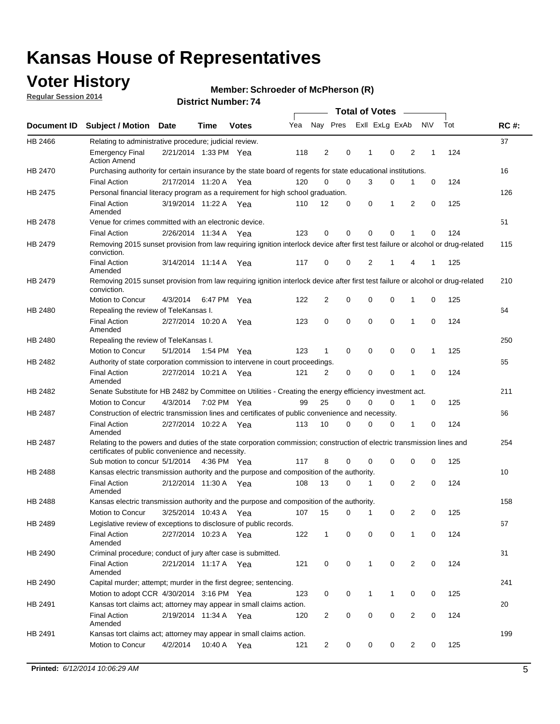### **Voter History**

**Regular Session 2014**

#### **Member: Schroeder of McPherson (R)**

|                    |                                                                                                                                                                             |                       |             |              |     |                | <b>Total of Votes</b> |              |                         |                |             |     |             |
|--------------------|-----------------------------------------------------------------------------------------------------------------------------------------------------------------------------|-----------------------|-------------|--------------|-----|----------------|-----------------------|--------------|-------------------------|----------------|-------------|-----|-------------|
| <b>Document ID</b> | <b>Subject / Motion Date</b>                                                                                                                                                |                       | Time        | <b>Votes</b> | Yea |                |                       |              | Nay Pres ExII ExLg ExAb |                | N\V         | Tot | <b>RC#:</b> |
| HB 2466            | Relating to administrative procedure; judicial review.                                                                                                                      |                       |             |              |     |                |                       |              |                         |                |             |     | 37          |
|                    | <b>Emergency Final</b><br><b>Action Amend</b>                                                                                                                               | 2/21/2014 1:33 PM Yea |             |              | 118 | 2              | 0                     | 1            | $\mathbf 0$             | 2              | 1           | 124 |             |
| <b>HB 2470</b>     | Purchasing authority for certain insurance by the state board of regents for state educational institutions.                                                                |                       |             |              |     |                |                       |              |                         |                |             |     | 16          |
|                    | <b>Final Action</b>                                                                                                                                                         | 2/17/2014 11:20 A Yea |             |              | 120 | 0              | 0                     | 3            | 0                       | 1              | 0           | 124 |             |
| HB 2475            | Personal financial literacy program as a requirement for high school graduation.                                                                                            |                       |             |              |     |                |                       |              |                         |                |             |     | 126         |
|                    | <b>Final Action</b><br>Amended                                                                                                                                              | 3/19/2014 11:22 A Yea |             |              | 110 | 12             | 0                     | 0            | 1                       | 2              | 0           | 125 |             |
| HB 2478            | Venue for crimes committed with an electronic device.                                                                                                                       |                       |             |              |     |                |                       |              |                         |                |             |     | 51          |
|                    | <b>Final Action</b>                                                                                                                                                         | 2/26/2014 11:34 A     |             | Yea          | 123 | 0              | 0                     | $\Omega$     | $\mathbf 0$             | 1              | $\mathbf 0$ | 124 |             |
| HB 2479            | Removing 2015 sunset provision from law requiring ignition interlock device after first test failure or alcohol or drug-related<br>conviction.                              |                       |             |              |     |                |                       |              |                         |                |             |     | 115         |
|                    | <b>Final Action</b><br>Amended                                                                                                                                              | 3/14/2014 11:14 A     |             | Yea          | 117 | 0              | 0                     | 2            | 1                       | 4              | 1           | 125 |             |
| HB 2479            | Removing 2015 sunset provision from law requiring ignition interlock device after first test failure or alcohol or drug-related<br>conviction.                              |                       |             |              |     |                |                       |              |                         |                |             |     | 210         |
|                    | Motion to Concur                                                                                                                                                            | 4/3/2014              |             | 6:47 PM Yea  | 122 | $\overline{2}$ | 0                     | $\mathbf 0$  | 0                       | 1              | 0           | 125 |             |
| HB 2480            | Repealing the review of TeleKansas I.                                                                                                                                       |                       |             |              |     |                |                       |              |                         |                |             |     | 64          |
|                    | <b>Final Action</b><br>Amended                                                                                                                                              | 2/27/2014 10:20 A Yea |             |              | 123 | 0              | 0                     | $\mathbf 0$  | $\mathbf 0$             | 1              | 0           | 124 |             |
| HB 2480            | Repealing the review of TeleKansas I.                                                                                                                                       |                       |             |              |     |                |                       |              |                         |                |             |     | 250         |
|                    | Motion to Concur                                                                                                                                                            | 5/1/2014              |             | 1:54 PM Yea  | 123 | 1              | 0                     | 0            | 0                       | 0              | 1           | 125 |             |
| HB 2482            | Authority of state corporation commission to intervene in court proceedings.                                                                                                |                       |             |              |     |                |                       |              |                         |                |             |     | 65          |
|                    | <b>Final Action</b><br>Amended                                                                                                                                              | 2/27/2014 10:21 A     |             | Yea          | 121 | 2              | 0                     | 0            | $\mathbf 0$             | 1              | 0           | 124 |             |
| HB 2482            | Senate Substitute for HB 2482 by Committee on Utilities - Creating the energy efficiency investment act.                                                                    |                       |             |              |     |                |                       |              |                         |                |             |     | 211         |
|                    | Motion to Concur                                                                                                                                                            | 4/3/2014 7:02 PM Yea  |             |              | 99  | 25             | $\Omega$              | 0            | $\mathbf 0$             | 1              | 0           | 125 |             |
| HB 2487            | Construction of electric transmission lines and certificates of public convenience and necessity.                                                                           |                       |             |              |     |                |                       |              |                         |                |             |     | 66          |
|                    | <b>Final Action</b><br>Amended                                                                                                                                              | 2/27/2014 10:22 A     |             | Yea          | 113 | 10             | 0                     | 0            | 0                       | 1              | 0           | 124 |             |
| HB 2487            | Relating to the powers and duties of the state corporation commission; construction of electric transmission lines and<br>certificates of public convenience and necessity. |                       |             |              |     |                |                       |              |                         |                |             |     | 254         |
|                    | Sub motion to concur 5/1/2014                                                                                                                                               |                       | 4:36 PM Yea |              | 117 | 8              | 0                     | 0            | $\mathbf 0$             | $\mathbf 0$    | 0           | 125 |             |
| HB 2488            | Kansas electric transmission authority and the purpose and composition of the authority.                                                                                    |                       |             |              |     |                |                       |              |                         |                |             |     | 10          |
|                    | <b>Final Action</b><br>Amended                                                                                                                                              | 2/12/2014 11:30 A Yea |             |              | 108 | 13             | 0                     | 1            | 0                       | 2              | 0           | 124 |             |
| <b>HB 2488</b>     | Kansas electric transmission authority and the purpose and composition of the authority.                                                                                    |                       |             |              |     |                |                       |              |                         |                |             |     | 158         |
|                    | Motion to Concur                                                                                                                                                            | 3/25/2014 10:43 A     |             | Yea          | 107 | 15             | 0                     | 1            | 0                       | 2              | 0           | 125 |             |
| HB 2489            | Legislative review of exceptions to disclosure of public records.                                                                                                           |                       |             |              |     |                |                       |              |                         |                |             |     | 67          |
|                    | <b>Final Action</b><br>Amended                                                                                                                                              | 2/27/2014 10:23 A Yea |             |              | 122 | $\mathbf{1}$   | 0                     | 0            | 0                       | 1              | 0           | 124 |             |
| HB 2490            | Criminal procedure; conduct of jury after case is submitted.                                                                                                                |                       |             |              |     |                |                       |              |                         |                |             |     | 31          |
|                    | <b>Final Action</b><br>Amended                                                                                                                                              | 2/21/2014 11:17 A Yea |             |              | 121 | 0              | 0                     | $\mathbf{1}$ | $\mathbf 0$             | $\overline{2}$ | $\mathbf 0$ | 124 |             |
| HB 2490            | Capital murder; attempt; murder in the first degree; sentencing.                                                                                                            |                       |             |              |     |                |                       |              |                         |                |             |     | 241         |
|                    | Motion to adopt CCR 4/30/2014 3:16 PM Yea                                                                                                                                   |                       |             |              | 123 | 0              | 0                     | $\mathbf{1}$ | 1                       | 0              | 0           | 125 |             |
| HB 2491            | Kansas tort claims act; attorney may appear in small claims action.                                                                                                         |                       |             |              |     |                |                       |              |                         |                |             |     | 20          |
|                    | <b>Final Action</b><br>Amended                                                                                                                                              | 2/19/2014 11:34 A Yea |             |              | 120 | $\overline{c}$ | 0                     | 0            | 0                       | $\overline{2}$ | 0           | 124 |             |
| HB 2491            | Kansas tort claims act; attorney may appear in small claims action.                                                                                                         |                       |             |              |     |                |                       |              |                         |                |             |     | 199         |
|                    | Motion to Concur                                                                                                                                                            | 4/2/2014              | 10:40 A     | Yea          | 121 | $\overline{2}$ | 0                     | 0            | 0                       | $\overline{2}$ | 0           | 125 |             |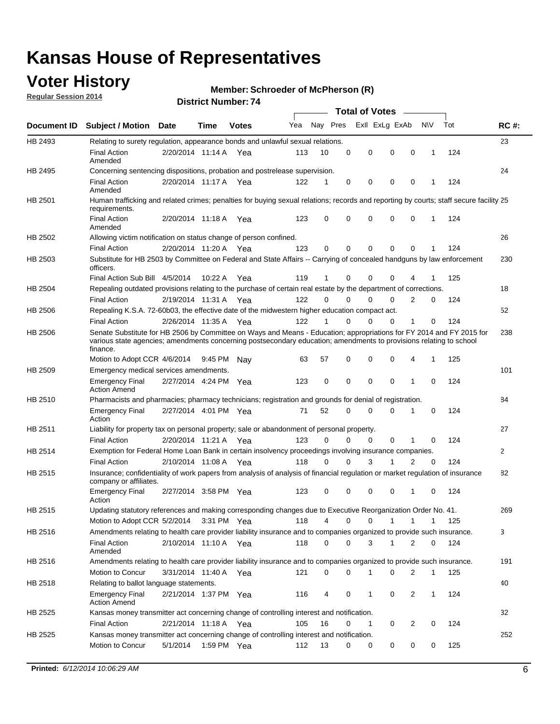### **Voter History**

**Regular Session 2014**

#### **Member: Schroeder of McPherson (R)**

|                    |                                                                                                                                                                                                                                                        |                       |         |              |     |          |          | <b>Total of Votes</b> |              |                |              |     |              |
|--------------------|--------------------------------------------------------------------------------------------------------------------------------------------------------------------------------------------------------------------------------------------------------|-----------------------|---------|--------------|-----|----------|----------|-----------------------|--------------|----------------|--------------|-----|--------------|
| <b>Document ID</b> | <b>Subject / Motion Date</b>                                                                                                                                                                                                                           |                       | Time    | <b>Votes</b> | Yea | Nay Pres |          | Exll ExLg ExAb        |              |                | N\V          | Tot | <b>RC#:</b>  |
| HB 2493            | Relating to surety regulation, appearance bonds and unlawful sexual relations.                                                                                                                                                                         |                       |         |              |     |          |          |                       |              |                |              |     | 23           |
|                    | <b>Final Action</b><br>Amended                                                                                                                                                                                                                         | 2/20/2014 11:14 A     |         | Yea          | 113 | 10       | 0        | 0                     | $\mathbf 0$  | 0              | $\mathbf 1$  | 124 |              |
| HB 2495            | Concerning sentencing dispositions, probation and postrelease supervision.                                                                                                                                                                             |                       |         |              |     |          |          |                       |              |                |              |     | 24           |
|                    | Final Action<br>Amended                                                                                                                                                                                                                                | 2/20/2014 11:17 A Yea |         |              | 122 | 1        | 0        | 0                     | 0            | $\mathbf 0$    | 1            | 124 |              |
| HB 2501            | Human trafficking and related crimes; penalties for buying sexual relations; records and reporting by courts; staff secure facility 25<br>requirements.                                                                                                |                       |         |              |     |          |          |                       |              |                |              |     |              |
|                    | <b>Final Action</b><br>Amended                                                                                                                                                                                                                         | 2/20/2014 11:18 A Yea |         |              | 123 | 0        | 0        | 0                     | 0            | $\mathbf 0$    | 1            | 124 |              |
| HB 2502            | Allowing victim notification on status change of person confined.                                                                                                                                                                                      |                       |         |              |     |          |          |                       |              |                |              |     | 26           |
|                    | <b>Final Action</b>                                                                                                                                                                                                                                    | 2/20/2014 11:20 A Yea |         |              | 123 | 0        | 0        | 0                     | $\Omega$     | $\Omega$       |              | 124 |              |
| HB 2503            | Substitute for HB 2503 by Committee on Federal and State Affairs -- Carrying of concealed handguns by law enforcement<br>officers.                                                                                                                     |                       |         |              |     |          |          |                       |              |                |              |     | 230          |
|                    | Final Action Sub Bill 4/5/2014                                                                                                                                                                                                                         |                       | 10:22 A | Yea          | 119 |          | 0        | 0                     | 0            | 4              |              | 125 |              |
| HB 2504            | Repealing outdated provisions relating to the purchase of certain real estate by the department of corrections.                                                                                                                                        |                       |         |              |     |          |          |                       |              |                |              |     | 18           |
|                    | <b>Final Action</b>                                                                                                                                                                                                                                    | 2/19/2014 11:31 A Yea |         |              | 122 | 0        | 0        | 0                     | $\Omega$     | $\overline{2}$ | 0            | 124 |              |
| HB 2506            | Repealing K.S.A. 72-60b03, the effective date of the midwestern higher education compact act.                                                                                                                                                          |                       |         |              |     |          |          |                       |              |                |              |     | 52           |
|                    | <b>Final Action</b>                                                                                                                                                                                                                                    | 2/26/2014 11:35 A Yea |         |              | 122 |          | 0        | 0                     | 0            | 1              | 0            | 124 |              |
| HB 2506            | Senate Substitute for HB 2506 by Committee on Ways and Means - Education; appropriations for FY 2014 and FY 2015 for<br>various state agencies; amendments concerning postsecondary education; amendments to provisions relating to school<br>finance. |                       |         |              |     |          |          |                       |              |                |              |     | 238          |
|                    | Motion to Adopt CCR 4/6/2014                                                                                                                                                                                                                           |                       | 9:45 PM | Nav          | 63  | 57       | 0        | 0                     | 0            | 4              | 1            | 125 |              |
| HB 2509            | Emergency medical services amendments.                                                                                                                                                                                                                 |                       |         |              |     |          |          |                       |              |                |              |     | 101          |
|                    | <b>Emergency Final</b><br><b>Action Amend</b>                                                                                                                                                                                                          | 2/27/2014 4:24 PM Yea |         |              | 123 | 0        | 0        | 0                     | 0            | $\mathbf 1$    | 0            | 124 |              |
| HB 2510            | Pharmacists and pharmacies; pharmacy technicians; registration and grounds for denial of registration.                                                                                                                                                 |                       |         |              |     |          |          |                       |              |                |              |     | 84           |
|                    | <b>Emergency Final</b><br>Action                                                                                                                                                                                                                       | 2/27/2014 4:01 PM Yea |         |              | 71  | 52       | 0        | 0                     | 0            | 1              | 0            | 124 |              |
| HB 2511            | Liability for property tax on personal property; sale or abandonment of personal property.                                                                                                                                                             |                       |         |              |     |          |          |                       |              |                |              |     | 27           |
|                    | <b>Final Action</b>                                                                                                                                                                                                                                    | 2/20/2014 11:21 A     |         | Yea          | 123 | 0        | $\Omega$ | 0                     | 0            | 1              | 0            | 124 |              |
| HB 2514            | Exemption for Federal Home Loan Bank in certain insolvency proceedings involving insurance companies.                                                                                                                                                  |                       |         |              |     |          |          |                       |              |                |              |     | $\mathbf{2}$ |
|                    | <b>Final Action</b>                                                                                                                                                                                                                                    | 2/10/2014 11:08 A     |         | Yea          | 118 | 0        | 0        | 3                     | 1            | $\overline{2}$ | 0            | 124 |              |
| HB 2515            | Insurance; confidentiality of work papers from analysis of analysis of financial regulation or market regulation of insurance<br>company or affiliates.                                                                                                |                       |         |              |     |          |          |                       |              |                |              |     | 82           |
|                    | <b>Emergency Final</b><br>Action                                                                                                                                                                                                                       | 2/27/2014 3:58 PM Yea |         |              | 123 | 0        | 0        | 0                     | 0            | -1             | 0            | 124 |              |
| HB 2515            | Updating statutory references and making corresponding changes due to Executive Reorganization Order No. 41.                                                                                                                                           |                       |         |              |     |          |          |                       |              |                |              |     | 269          |
|                    | Motion to Adopt CCR 5/2/2014 3:31 PM Yea                                                                                                                                                                                                               |                       |         |              | 118 | 4        | 0        | 0                     | $\mathbf{1}$ | $\mathbf{1}$   | $\mathbf{1}$ | 125 |              |
| HB 2516            | Amendments relating to health care provider liability insurance and to companies organized to provide such insurance.                                                                                                                                  |                       |         |              |     |          |          |                       |              |                |              |     | 3            |
|                    | <b>Final Action</b><br>Amended                                                                                                                                                                                                                         | 2/10/2014 11:10 A Yea |         |              | 118 | 0        | 0        | 3                     | $\mathbf{1}$ | 2              | 0            | 124 |              |
| HB 2516            | Amendments relating to health care provider liability insurance and to companies organized to provide such insurance.                                                                                                                                  |                       |         |              |     |          |          |                       |              |                |              |     | 191          |
|                    | Motion to Concur                                                                                                                                                                                                                                       | 3/31/2014 11:40 A Yea |         |              | 121 | 0        | 0        | 1                     | 0            | 2              | $\mathbf{1}$ | 125 |              |
| HB 2518            | Relating to ballot language statements.                                                                                                                                                                                                                |                       |         |              |     |          |          |                       |              |                |              |     | 40           |
|                    | <b>Emergency Final</b><br><b>Action Amend</b>                                                                                                                                                                                                          | 2/21/2014 1:37 PM Yea |         |              | 116 | 4        | 0        | 1                     | 0            | 2              | $\mathbf{1}$ | 124 |              |
| HB 2525            | Kansas money transmitter act concerning change of controlling interest and notification.                                                                                                                                                               |                       |         |              |     |          |          |                       |              |                |              |     | 32           |
|                    | <b>Final Action</b>                                                                                                                                                                                                                                    | 2/21/2014 11:18 A Yea |         |              | 105 | 16       | 0        | 1                     | 0            | 2              | 0            | 124 |              |
| HB 2525            | Kansas money transmitter act concerning change of controlling interest and notification.                                                                                                                                                               |                       |         |              |     |          |          |                       |              |                |              |     | 252          |
|                    | Motion to Concur                                                                                                                                                                                                                                       | 5/1/2014              |         | 1:59 PM Yea  | 112 | 13       | 0        | 0                     | 0            | 0              | 0            | 125 |              |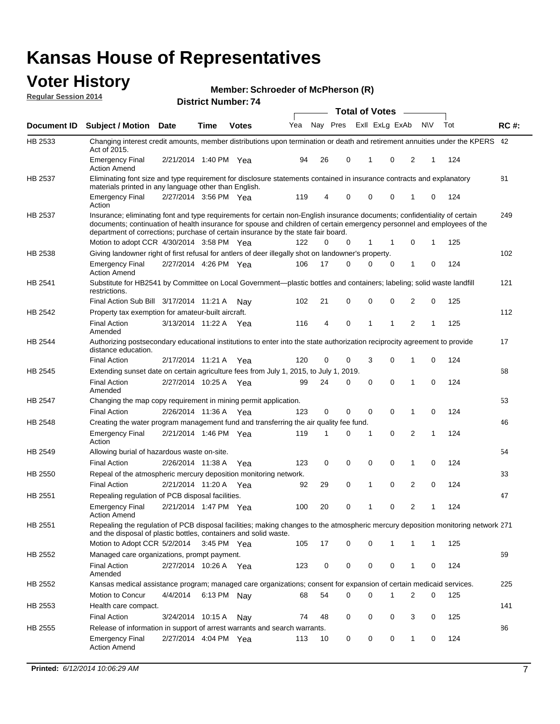#### **Voter History Regular Session 2014**

**Member: Schroeder of McPherson (R)** 

|         |                                                                                                                                                                                                                                                                                                                                           |                       |             | DISTICT MAILING 1.74 |     |    |             | <b>Total of Votes</b> |             | $\sim$         |                |   |     |             |
|---------|-------------------------------------------------------------------------------------------------------------------------------------------------------------------------------------------------------------------------------------------------------------------------------------------------------------------------------------------|-----------------------|-------------|----------------------|-----|----|-------------|-----------------------|-------------|----------------|----------------|---|-----|-------------|
|         | Document ID Subject / Motion                                                                                                                                                                                                                                                                                                              | <b>Date</b>           | Time        | <b>Votes</b>         | Yea |    | Nay Pres    |                       |             | Exll ExLg ExAb | N\V            |   | Tot | <b>RC#:</b> |
| HB 2533 | Changing interest credit amounts, member distributions upon termination or death and retirement annuities under the KPERS 42<br>Act of 2015.                                                                                                                                                                                              |                       |             |                      |     |    |             |                       |             |                |                |   |     |             |
|         | <b>Emergency Final</b><br><b>Action Amend</b>                                                                                                                                                                                                                                                                                             | 2/21/2014 1:40 PM Yea |             |                      | 94  | 26 | 0           |                       | 1           | 0              | 2              | 1 | 124 |             |
| HB 2537 | Eliminating font size and type requirement for disclosure statements contained in insurance contracts and explanatory<br>materials printed in any language other than English.                                                                                                                                                            |                       |             |                      |     |    |             |                       |             |                |                |   |     | 81          |
|         | <b>Emergency Final</b><br>Action                                                                                                                                                                                                                                                                                                          | 2/27/2014 3:56 PM Yea |             |                      | 119 | 4  | 0           |                       | $\mathbf 0$ | 0              | 1              | 0 | 124 |             |
| HB 2537 | Insurance; eliminating font and type requirements for certain non-English insurance documents; confidentiality of certain<br>documents; continuation of health insurance for spouse and children of certain emergency personnel and employees of the<br>department of corrections; purchase of certain insurance by the state fair board. |                       |             |                      |     |    |             |                       |             |                |                |   |     | 249         |
|         | Motion to adopt CCR 4/30/2014 3:58 PM Yea                                                                                                                                                                                                                                                                                                 |                       |             |                      | 122 | 0  | 0           |                       | 1           | 1              | 0              | 1 | 125 |             |
| HB 2538 | Giving landowner right of first refusal for antlers of deer illegally shot on landowner's property.                                                                                                                                                                                                                                       |                       |             |                      |     |    |             |                       |             |                |                |   |     | 102         |
|         | <b>Emergency Final</b><br><b>Action Amend</b>                                                                                                                                                                                                                                                                                             | 2/27/2014 4:26 PM Yea |             |                      | 106 | 17 | 0           |                       | $\mathbf 0$ | 0              | 1              | 0 | 124 |             |
| HB 2541 | Substitute for HB2541 by Committee on Local Government—plastic bottles and containers; labeling; solid waste landfill<br>restrictions.                                                                                                                                                                                                    |                       |             |                      |     |    |             |                       |             |                |                |   |     | 121         |
|         | Final Action Sub Bill 3/17/2014 11:21 A                                                                                                                                                                                                                                                                                                   |                       |             | Nav                  | 102 | 21 | 0           |                       | $\mathbf 0$ | 0              | $\overline{2}$ | 0 | 125 |             |
| HB 2542 | Property tax exemption for amateur-built aircraft.                                                                                                                                                                                                                                                                                        |                       |             |                      |     |    |             |                       |             |                |                |   |     | 112         |
|         | <b>Final Action</b><br>Amended                                                                                                                                                                                                                                                                                                            | 3/13/2014 11:22 A Yea |             |                      | 116 | 4  | $\mathbf 0$ |                       | $\mathbf 1$ | 1              | $\overline{2}$ | 1 | 125 |             |
| HB 2544 | Authorizing postsecondary educational institutions to enter into the state authorization reciprocity agreement to provide<br>distance education.                                                                                                                                                                                          |                       |             |                      |     |    |             |                       |             |                |                |   |     | 17          |
|         | <b>Final Action</b>                                                                                                                                                                                                                                                                                                                       | 2/17/2014 11:21 A Yea |             |                      | 120 | 0  | 0           |                       | 3           | 0              | 1              | 0 | 124 |             |
| HB 2545 | Extending sunset date on certain agriculture fees from July 1, 2015, to July 1, 2019.                                                                                                                                                                                                                                                     |                       |             |                      |     |    |             |                       |             |                |                |   |     | 68          |
|         | <b>Final Action</b><br>Amended                                                                                                                                                                                                                                                                                                            | 2/27/2014 10:25 A Yea |             |                      | 99  | 24 | 0           |                       | $\mathbf 0$ | $\Omega$       | 1              | 0 | 124 |             |
| HB 2547 | Changing the map copy requirement in mining permit application.                                                                                                                                                                                                                                                                           |                       |             |                      |     |    |             |                       |             |                |                |   |     | 53          |
|         | <b>Final Action</b>                                                                                                                                                                                                                                                                                                                       | 2/26/2014 11:36 A Yea |             |                      | 123 | 0  | 0           |                       | $\mathbf 0$ | 0              | 1              | 0 | 124 |             |
| HB 2548 | Creating the water program management fund and transferring the air quality fee fund.                                                                                                                                                                                                                                                     |                       |             |                      |     |    |             |                       |             |                |                |   |     | 46          |
|         | <b>Emergency Final</b><br>Action                                                                                                                                                                                                                                                                                                          | 2/21/2014 1:46 PM Yea |             |                      | 119 | 1  | 0           |                       | 1           | $\mathbf 0$    | 2              | 1 | 124 |             |
| HB 2549 | Allowing burial of hazardous waste on-site.                                                                                                                                                                                                                                                                                               |                       |             |                      |     |    |             |                       |             |                |                |   |     | 54          |
|         | <b>Final Action</b>                                                                                                                                                                                                                                                                                                                       | 2/26/2014 11:38 A     |             | Yea                  | 123 | 0  | 0           |                       | $\mathbf 0$ | 0              | 1              | 0 | 124 |             |
| HB 2550 | Repeal of the atmospheric mercury deposition monitoring network.                                                                                                                                                                                                                                                                          |                       |             |                      |     |    |             |                       |             |                |                |   |     | 33          |
|         | <b>Final Action</b>                                                                                                                                                                                                                                                                                                                       | 2/21/2014 11:20 A Yea |             |                      | 92  | 29 | 0           |                       | 1           | 0              | 2              | 0 | 124 |             |
| HB 2551 | Repealing regulation of PCB disposal facilities.                                                                                                                                                                                                                                                                                          |                       |             |                      |     |    |             |                       |             |                |                |   |     | 47          |
|         | <b>Emergency Final</b><br><b>Action Amend</b>                                                                                                                                                                                                                                                                                             | 2/21/2014 1:47 PM Yea |             |                      | 100 | 20 | 0           |                       | 1           | 0              | 2              | 1 | 124 |             |
| HB 2551 | Repealing the regulation of PCB disposal facilities; making changes to the atmospheric mercury deposition monitoring network 271<br>and the disposal of plastic bottles, containers and solid waste.                                                                                                                                      |                       |             |                      |     |    |             |                       |             |                |                |   |     |             |
|         | Motion to Adopt CCR 5/2/2014 3:45 PM Yea                                                                                                                                                                                                                                                                                                  |                       |             |                      | 105 | 17 | 0           |                       | 0           | 1              | 1              | 1 | 125 |             |
| HB 2552 | Managed care organizations, prompt payment.                                                                                                                                                                                                                                                                                               |                       |             |                      |     |    |             |                       |             |                |                |   |     | 69          |
|         | <b>Final Action</b><br>Amended                                                                                                                                                                                                                                                                                                            | 2/27/2014 10:26 A Yea |             |                      | 123 | 0  | 0           |                       | 0           | 0              | 1              | 0 | 124 |             |
| HB 2552 | Kansas medical assistance program; managed care organizations; consent for expansion of certain medicaid services.                                                                                                                                                                                                                        |                       |             |                      |     |    |             |                       |             |                |                |   |     | 225         |
|         | Motion to Concur                                                                                                                                                                                                                                                                                                                          | 4/4/2014              | 6:13 PM Nay |                      | 68  | 54 | 0           |                       | $\Omega$    | 1              | 2              | 0 | 125 |             |
| HB 2553 | Health care compact.                                                                                                                                                                                                                                                                                                                      |                       |             |                      |     |    |             |                       |             |                |                |   |     | 141         |
|         | <b>Final Action</b>                                                                                                                                                                                                                                                                                                                       | 3/24/2014 10:15 A     |             | Nay                  | 74  | 48 | 0           |                       | $\mathbf 0$ | 0              | 3              | 0 | 125 |             |
| HB 2555 | Release of information in support of arrest warrants and search warrants.                                                                                                                                                                                                                                                                 |                       |             |                      |     |    |             |                       |             |                |                |   |     | 86          |
|         | <b>Emergency Final</b><br><b>Action Amend</b>                                                                                                                                                                                                                                                                                             | 2/27/2014 4:04 PM Yea |             |                      | 113 | 10 | 0           |                       | 0           | 0              | 1              | 0 | 124 |             |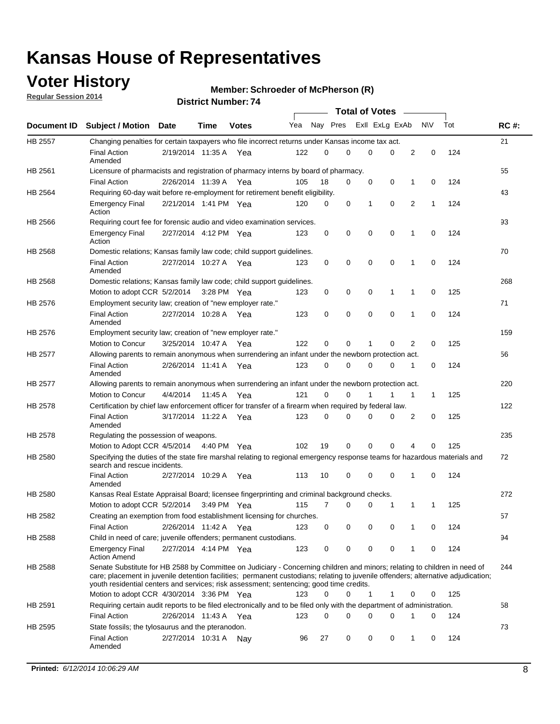### **Voter History**

**Regular Session 2014**

#### **Member: Schroeder of McPherson (R)**

|                |                                                                                                                                                                                                                                                                                                                                                           |                       |             |               |     |          |   | <b>Total of Votes</b> |             |              |              |     |             |
|----------------|-----------------------------------------------------------------------------------------------------------------------------------------------------------------------------------------------------------------------------------------------------------------------------------------------------------------------------------------------------------|-----------------------|-------------|---------------|-----|----------|---|-----------------------|-------------|--------------|--------------|-----|-------------|
|                | Document ID Subject / Motion Date                                                                                                                                                                                                                                                                                                                         |                       | Time        | <b>Votes</b>  | Yea | Nay Pres |   | Exll ExLg ExAb        |             |              | <b>NV</b>    | Tot | <b>RC#:</b> |
| <b>HB 2557</b> | Changing penalties for certain taxpayers who file incorrect returns under Kansas income tax act.                                                                                                                                                                                                                                                          |                       |             |               |     |          |   |                       |             |              |              |     | 21          |
|                | <b>Final Action</b><br>Amended                                                                                                                                                                                                                                                                                                                            | 2/19/2014 11:35 A     |             | Yea           | 122 | 0        | 0 | 0                     | 0           | 2            | 0            | 124 |             |
| HB 2561        | Licensure of pharmacists and registration of pharmacy interns by board of pharmacy.                                                                                                                                                                                                                                                                       |                       |             |               |     |          |   |                       |             |              |              |     | 55          |
|                | <b>Final Action</b>                                                                                                                                                                                                                                                                                                                                       | 2/26/2014 11:39 A Yea |             |               | 105 | 18       | 0 | 0                     | 0           | 1            | 0            | 124 |             |
| HB 2564        | Requiring 60-day wait before re-employment for retirement benefit eligibility.                                                                                                                                                                                                                                                                            |                       |             |               |     |          |   |                       |             |              |              |     | 43          |
|                | <b>Emergency Final</b><br>Action                                                                                                                                                                                                                                                                                                                          | 2/21/2014 1:41 PM Yea |             |               | 120 | 0        | 0 | 1                     | 0           | 2            | 1            | 124 |             |
| HB 2566        | Requiring court fee for forensic audio and video examination services.                                                                                                                                                                                                                                                                                    |                       |             |               |     |          |   |                       |             |              |              |     | 93          |
|                | <b>Emergency Final</b><br>Action                                                                                                                                                                                                                                                                                                                          | 2/27/2014 4:12 PM Yea |             |               | 123 | 0        | 0 | 0                     | $\mathbf 0$ | 1            | $\mathbf 0$  | 124 |             |
| HB 2568        | Domestic relations; Kansas family law code; child support guidelines.                                                                                                                                                                                                                                                                                     |                       |             |               |     |          |   |                       |             |              |              |     | 70          |
|                | <b>Final Action</b><br>Amended                                                                                                                                                                                                                                                                                                                            | 2/27/2014 10:27 A     |             | Yea           | 123 | 0        | 0 | 0                     | 0           | 1            | 0            | 124 |             |
| HB 2568        | Domestic relations; Kansas family law code; child support guidelines.                                                                                                                                                                                                                                                                                     |                       |             |               |     |          |   |                       |             |              |              |     | 268         |
|                | Motion to adopt CCR 5/2/2014                                                                                                                                                                                                                                                                                                                              |                       | 3:28 PM Yea |               | 123 | 0        | 0 | 0                     | 1           | 1            | 0            | 125 |             |
| HB 2576        | Employment security law; creation of "new employer rate."                                                                                                                                                                                                                                                                                                 |                       |             |               |     |          |   |                       |             |              |              |     | 71          |
|                | <b>Final Action</b><br>Amended                                                                                                                                                                                                                                                                                                                            | 2/27/2014 10:28 A     |             | Yea           | 123 | 0        | 0 | 0                     | $\mathbf 0$ | 1            | 0            | 124 |             |
| HB 2576        | Employment security law; creation of "new employer rate."                                                                                                                                                                                                                                                                                                 |                       |             |               |     |          |   |                       |             |              |              |     | 159         |
|                | Motion to Concur                                                                                                                                                                                                                                                                                                                                          | 3/25/2014 10:47 A     |             | Yea           | 122 | 0        | 0 | 1                     | 0           | 2            | 0            | 125 |             |
| HB 2577        | Allowing parents to remain anonymous when surrendering an infant under the newborn protection act.                                                                                                                                                                                                                                                        |                       |             |               |     |          |   |                       |             |              |              |     | 56          |
|                | <b>Final Action</b><br>Amended                                                                                                                                                                                                                                                                                                                            | 2/26/2014 11:41 A Yea |             |               | 123 | 0        | 0 | 0                     | $\Omega$    | 1            | 0            | 124 |             |
| HB 2577        | Allowing parents to remain anonymous when surrendering an infant under the newborn protection act.                                                                                                                                                                                                                                                        |                       |             |               |     |          |   |                       |             |              |              |     | 220         |
|                | Motion to Concur                                                                                                                                                                                                                                                                                                                                          | 4/4/2014              | 11:45 A     | Yea           | 121 | $\Omega$ | 0 |                       | 1           | $\mathbf{1}$ | $\mathbf{1}$ | 125 |             |
| HB 2578        | Certification by chief law enforcement officer for transfer of a firearm when required by federal law.                                                                                                                                                                                                                                                    |                       |             |               |     |          |   |                       |             |              |              |     | 122         |
|                | <b>Final Action</b><br>Amended                                                                                                                                                                                                                                                                                                                            | 3/17/2014 11:22 A     |             | Yea           | 123 | $\Omega$ | 0 | 0                     | $\Omega$    | 2            | 0            | 125 |             |
| HB 2578        | Regulating the possession of weapons.                                                                                                                                                                                                                                                                                                                     |                       |             |               |     |          |   |                       |             |              |              |     | 235         |
|                | Motion to Adopt CCR 4/5/2014 4:40 PM Yea                                                                                                                                                                                                                                                                                                                  |                       |             |               | 102 | 19       | 0 | 0                     | 0           | 4            | $\Omega$     | 125 |             |
| HB 2580        | Specifying the duties of the state fire marshal relating to regional emergency response teams for hazardous materials and<br>search and rescue incidents.                                                                                                                                                                                                 |                       |             |               |     |          |   |                       |             |              |              |     | 72          |
|                | <b>Final Action</b><br>Amended                                                                                                                                                                                                                                                                                                                            | 2/27/2014 10:29 A     |             | Yea           | 113 | 10       | 0 | 0                     | 0           | 1            | 0            | 124 |             |
| HB 2580        | Kansas Real Estate Appraisal Board; licensee fingerprinting and criminal background checks.                                                                                                                                                                                                                                                               |                       |             |               |     |          |   |                       |             |              |              |     | 272         |
|                | Motion to adopt CCR 5/2/2014                                                                                                                                                                                                                                                                                                                              |                       |             | $3:49$ PM Yea | 115 | 7        | 0 | 0                     | 1           | 1            | -1           | 125 |             |
| HB 2582        | Creating an exemption from food establishment licensing for churches.                                                                                                                                                                                                                                                                                     |                       |             |               |     |          |   |                       |             |              |              |     | 57          |
|                | <b>Final Action</b>                                                                                                                                                                                                                                                                                                                                       | 2/26/2014 11:42 A Yea |             |               | 123 | 0        | 0 | 0                     | 0           | 1            | 0            | 124 |             |
| HB 2588        | Child in need of care; juvenile offenders; permanent custodians.                                                                                                                                                                                                                                                                                          |                       |             |               |     |          |   |                       |             |              |              |     | 94          |
|                | <b>Emergency Final</b><br><b>Action Amend</b>                                                                                                                                                                                                                                                                                                             | 2/27/2014 4:14 PM Yea |             |               | 123 | 0        | 0 | 0                     | 0           | 1            | 0            | 124 |             |
| HB 2588        | Senate Substitute for HB 2588 by Committee on Judiciary - Concerning children and minors; relating to children in need of<br>care; placement in juvenile detention facilities; permanent custodians; relating to juvenile offenders; alternative adjudication;<br>youth residential centers and services; risk assessment; sentencing; good time credits. |                       |             |               |     |          |   |                       |             |              |              |     | 244         |
|                | Motion to adopt CCR 4/30/2014 3:36 PM Yea                                                                                                                                                                                                                                                                                                                 |                       |             |               | 123 | 0        | 0 | 1                     | 1           | 0            | 0            | 125 |             |
| HB 2591        | Requiring certain audit reports to be filed electronically and to be filed only with the department of administration.                                                                                                                                                                                                                                    |                       |             |               |     |          |   |                       |             |              |              |     | 58          |
|                | <b>Final Action</b>                                                                                                                                                                                                                                                                                                                                       | 2/26/2014 11:43 A Yea |             |               | 123 | 0        | 0 | 0                     | 0           | 1            | 0            | 124 |             |
| HB 2595        | State fossils; the tylosaurus and the pteranodon.                                                                                                                                                                                                                                                                                                         |                       |             |               |     |          |   |                       |             |              |              |     | 73          |
|                | <b>Final Action</b><br>Amended                                                                                                                                                                                                                                                                                                                            | 2/27/2014 10:31 A Nay |             |               | 96  | 27       | 0 | 0                     | 0           | 1            | 0            | 124 |             |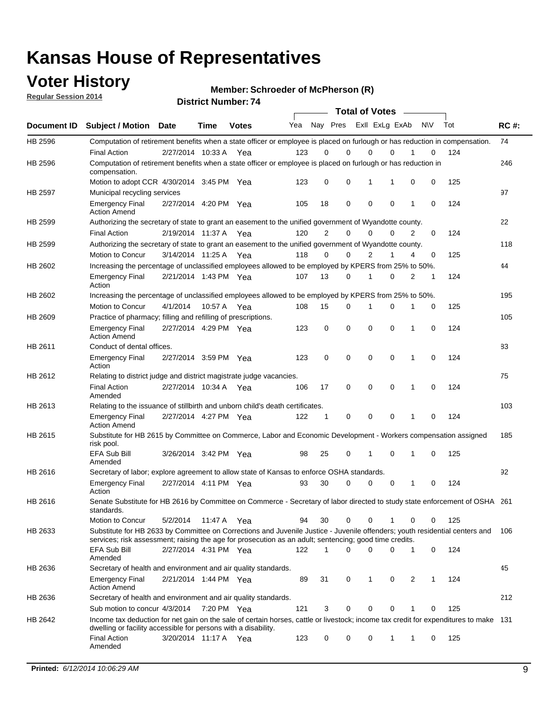### **Voter History**

**Regular Session 2014**

**Member: Schroeder of McPherson (R)** 

|                |                                                                                                                                                                                                                                       |                       |             | DISTICT MUTTINGL 14 |     |                |             |                | <b>Total of Votes</b> |   |           |     |             |
|----------------|---------------------------------------------------------------------------------------------------------------------------------------------------------------------------------------------------------------------------------------|-----------------------|-------------|---------------------|-----|----------------|-------------|----------------|-----------------------|---|-----------|-----|-------------|
| Document ID    | <b>Subject / Motion</b>                                                                                                                                                                                                               | <b>Date</b>           | Time        | <b>Votes</b>        | Yea |                | Nay Pres    |                | Exll ExLg ExAb        |   | <b>NV</b> | Tot | <b>RC#:</b> |
| HB 2596        | Computation of retirement benefits when a state officer or employee is placed on furlough or has reduction in compensation.                                                                                                           |                       |             |                     |     |                |             |                |                       |   |           |     | 74          |
|                | <b>Final Action</b>                                                                                                                                                                                                                   | 2/27/2014 10:33 A     |             | Yea                 | 123 | 0              | $\Omega$    | 0              | $\Omega$              |   | 0         | 124 |             |
| HB 2596        | Computation of retirement benefits when a state officer or employee is placed on furlough or has reduction in<br>compensation.                                                                                                        |                       |             |                     |     |                |             |                |                       |   |           |     | 246         |
|                | Motion to adopt CCR 4/30/2014 3:45 PM Yea                                                                                                                                                                                             |                       |             |                     | 123 | 0              | 0           | 1              | 1                     | 0 | 0         | 125 |             |
| <b>HB 2597</b> | Municipal recycling services                                                                                                                                                                                                          |                       |             |                     |     |                |             |                |                       |   |           |     | 97          |
|                | <b>Emergency Final</b><br><b>Action Amend</b>                                                                                                                                                                                         | 2/27/2014 4:20 PM Yea |             |                     | 105 | 18             | $\mathbf 0$ | $\mathbf 0$    | $\mathbf 0$           | 1 | 0         | 124 |             |
| HB 2599        | Authorizing the secretary of state to grant an easement to the unified government of Wyandotte county.                                                                                                                                |                       |             |                     |     |                |             |                |                       |   |           |     | 22          |
|                | <b>Final Action</b>                                                                                                                                                                                                                   | 2/19/2014 11:37 A     |             | Yea                 | 120 | $\overline{2}$ | $\mathbf 0$ | 0              | $\Omega$              | 2 | 0         | 124 |             |
| HB 2599        | Authorizing the secretary of state to grant an easement to the unified government of Wyandotte county.                                                                                                                                |                       |             |                     |     |                |             |                |                       |   |           |     | 118         |
|                | Motion to Concur                                                                                                                                                                                                                      | 3/14/2014 11:25 A     |             | Yea                 | 118 | $\Omega$       | 0           | $\overline{2}$ | 1                     | 4 | 0         | 125 |             |
| HB 2602        | Increasing the percentage of unclassified employees allowed to be employed by KPERS from 25% to 50%.                                                                                                                                  |                       |             |                     |     |                |             |                |                       |   |           |     | 44          |
|                | <b>Emergency Final</b><br>Action                                                                                                                                                                                                      | 2/21/2014 1:43 PM Yea |             |                     | 107 | 13             | 0           | 1              | $\Omega$              | 2 | 1         | 124 |             |
| HB 2602        | Increasing the percentage of unclassified employees allowed to be employed by KPERS from 25% to 50%.                                                                                                                                  |                       |             |                     |     |                |             |                |                       |   |           |     | 195         |
|                | Motion to Concur                                                                                                                                                                                                                      | 4/1/2014              | 10:57 A Yea |                     | 108 | 15             | 0           | 1              | 0                     | 1 | 0         | 125 |             |
| HB 2609        | Practice of pharmacy; filling and refilling of prescriptions.                                                                                                                                                                         |                       |             |                     |     |                |             |                |                       |   |           |     | 105         |
|                | <b>Emergency Final</b><br><b>Action Amend</b>                                                                                                                                                                                         | 2/27/2014 4:29 PM Yea |             |                     | 123 | 0              | $\mathbf 0$ | $\mathbf 0$    | $\Omega$              | 1 | 0         | 124 |             |
| HB 2611        | Conduct of dental offices.                                                                                                                                                                                                            |                       |             |                     |     |                |             |                |                       |   |           |     | 83          |
|                | <b>Emergency Final</b><br>Action                                                                                                                                                                                                      | 2/27/2014 3:59 PM Yea |             |                     | 123 | 0              | $\mathbf 0$ | $\mathbf 0$    | $\mathbf 0$           | 1 | 0         | 124 |             |
| HB 2612        | Relating to district judge and district magistrate judge vacancies.                                                                                                                                                                   |                       |             |                     |     |                |             |                |                       |   |           |     | 75          |
|                | <b>Final Action</b><br>Amended                                                                                                                                                                                                        | 2/27/2014 10:34 A     |             | Yea                 | 106 | 17             | $\mathbf 0$ | $\mathbf 0$    | $\mathbf 0$           | 1 | 0         | 124 |             |
| HB 2613        | Relating to the issuance of stillbirth and unborn child's death certificates.                                                                                                                                                         |                       |             |                     |     |                |             |                |                       |   |           |     | 103         |
|                | <b>Emergency Final</b><br><b>Action Amend</b>                                                                                                                                                                                         | 2/27/2014 4:27 PM Yea |             |                     | 122 | 1              | 0           | $\mathbf 0$    | $\Omega$              | 1 | 0         | 124 |             |
| HB 2615        | Substitute for HB 2615 by Committee on Commerce, Labor and Economic Development - Workers compensation assigned<br>risk pool.                                                                                                         |                       |             |                     |     |                |             |                |                       |   |           |     | 185         |
|                | EFA Sub Bill<br>Amended                                                                                                                                                                                                               | 3/26/2014 3:42 PM Yea |             |                     | 98  | 25             | 0           | 1              | $\mathbf 0$           | 1 | 0         | 125 |             |
| HB 2616        | Secretary of labor; explore agreement to allow state of Kansas to enforce OSHA standards.                                                                                                                                             |                       |             |                     |     |                |             |                |                       |   |           |     | 92          |
|                | <b>Emergency Final</b><br>Action                                                                                                                                                                                                      | 2/27/2014 4:11 PM Yea |             |                     | 93  | 30             | 0           | 0              | 0                     | 1 | 0         | 124 |             |
| HB 2616        | Senate Substitute for HB 2616 by Committee on Commerce - Secretary of labor directed to study state enforcement of OSHA 261<br>standards.                                                                                             |                       |             |                     |     |                |             |                |                       |   |           |     |             |
|                | Motion to Concur                                                                                                                                                                                                                      | 5/2/2014              | 11:47 A Yea |                     | 94  | 30             | 0           | 0              | 1                     | 0 | 0         | 125 |             |
| HB 2633        | Substitute for HB 2633 by Committee on Corrections and Juvenile Justice - Juvenile offenders; youth residential centers and<br>services; risk assessment; raising the age for prosecution as an adult; sentencing; good time credits. |                       |             |                     |     |                |             |                |                       |   |           |     | 106         |
|                | EFA Sub Bill<br>Amended                                                                                                                                                                                                               | 2/27/2014 4:31 PM Yea |             |                     | 122 | 1              | 0           | $\mathbf 0$    | 0                     | 1 | 0         | 124 |             |
| HB 2636        | Secretary of health and environment and air quality standards.                                                                                                                                                                        |                       |             |                     |     |                |             |                |                       |   |           |     | 45          |
|                | <b>Emergency Final</b><br><b>Action Amend</b>                                                                                                                                                                                         | 2/21/2014 1:44 PM Yea |             |                     | 89  | 31             | 0           | 1              | 0                     | 2 | 1         | 124 |             |
| HB 2636        | Secretary of health and environment and air quality standards.                                                                                                                                                                        |                       |             |                     |     |                |             |                |                       |   |           |     | 212         |
|                | Sub motion to concur 4/3/2014                                                                                                                                                                                                         |                       | 7:20 PM Yea |                     | 121 | 3              | 0           | 0              | 0                     |   | 0         | 125 |             |
| HB 2642        | Income tax deduction for net gain on the sale of certain horses, cattle or livestock; income tax credit for expenditures to make 131<br>dwelling or facility accessible for persons with a disability.                                |                       |             |                     |     |                |             |                |                       |   |           |     |             |
|                | <b>Final Action</b><br>Amended                                                                                                                                                                                                        | 3/20/2014 11:17 A Yea |             |                     | 123 | 0              | 0           | 0              | $\mathbf{1}$          | 1 | 0         | 125 |             |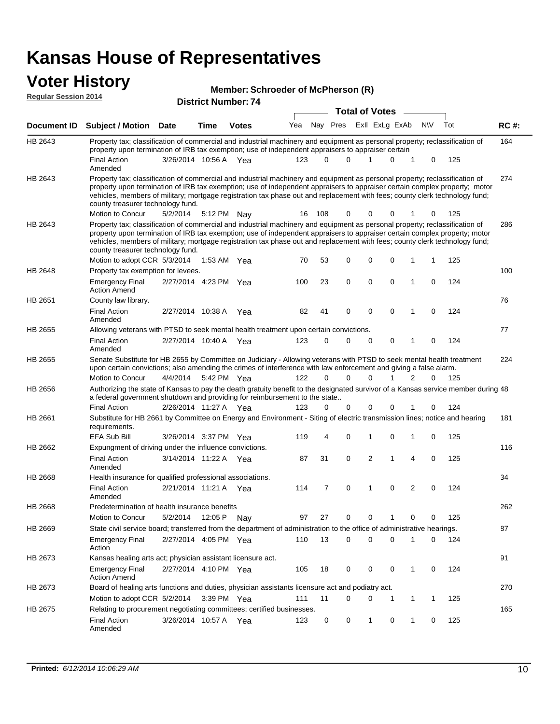#### **Voter History Member:**

| <b>Voter History</b><br><b>Regular Session 2014</b> |                                                                                                                                                                                                                                                                                                                                                                                                                               |                       |               | Member: Schroeder of McPherson (R) |     |              |             |                       |                |                |              |     |             |
|-----------------------------------------------------|-------------------------------------------------------------------------------------------------------------------------------------------------------------------------------------------------------------------------------------------------------------------------------------------------------------------------------------------------------------------------------------------------------------------------------|-----------------------|---------------|------------------------------------|-----|--------------|-------------|-----------------------|----------------|----------------|--------------|-----|-------------|
|                                                     |                                                                                                                                                                                                                                                                                                                                                                                                                               |                       |               | <b>District Number: 74</b>         |     |              |             |                       |                |                |              |     |             |
|                                                     |                                                                                                                                                                                                                                                                                                                                                                                                                               |                       |               |                                    |     |              |             | <b>Total of Votes</b> |                |                |              |     |             |
| Document ID                                         | <b>Subject / Motion</b>                                                                                                                                                                                                                                                                                                                                                                                                       | <b>Date</b>           | Time          | <b>Votes</b>                       | Yea | Nav          | Pres        |                       | Exll ExLg ExAb |                | <b>NV</b>    | Tot | <b>RC#:</b> |
| HB 2643                                             | Property tax; classification of commercial and industrial machinery and equipment as personal property; reclassification of<br>property upon termination of IRB tax exemption; use of independent appraisers to appraiser certain                                                                                                                                                                                             |                       |               |                                    |     |              |             |                       |                |                |              |     | 164         |
|                                                     | <b>Final Action</b><br>Amended                                                                                                                                                                                                                                                                                                                                                                                                | 3/26/2014 10:56 A Yea |               |                                    | 123 | <sup>0</sup> | $\Omega$    | 1                     | 0              | 1              | 0            | 125 |             |
| HB 2643                                             | Property tax; classification of commercial and industrial machinery and equipment as personal property; reclassification of<br>property upon termination of IRB tax exemption; use of independent appraisers to appraiser certain complex property; motor<br>vehicles, members of military; mortgage registration tax phase out and replacement with fees; county clerk technology fund;<br>county treasurer technology fund. |                       |               |                                    |     |              |             |                       |                |                |              |     | 274         |
|                                                     | Motion to Concur                                                                                                                                                                                                                                                                                                                                                                                                              | 5/2/2014              | 5:12 PM Nav   |                                    | 16  | 108          | 0           | 0                     | $\Omega$       |                | 0            | 125 |             |
| HB 2643                                             | Property tax; classification of commercial and industrial machinery and equipment as personal property; reclassification of<br>property upon termination of IRB tax exemption; use of independent appraisers to appraiser certain complex property; motor<br>vehicles, members of military; mortgage registration tax phase out and replacement with fees; county clerk technology fund;<br>county treasurer technology fund. |                       |               |                                    |     |              |             |                       |                |                |              |     | 286         |
|                                                     | Motion to adopt CCR 5/3/2014                                                                                                                                                                                                                                                                                                                                                                                                  |                       | 1:53 AM $Yea$ |                                    | 70  | 53           | 0           | 0                     | 0              | 1              | 1            | 125 |             |
| HB 2648                                             | Property tax exemption for levees.<br><b>Emergency Final</b><br><b>Action Amend</b>                                                                                                                                                                                                                                                                                                                                           | 2/27/2014 4:23 PM Yea |               |                                    | 100 | 23           | 0           | 0                     | $\mathbf{0}$   | 1              | $\mathbf{0}$ | 124 | 100         |
| HB 2651                                             | County law library.                                                                                                                                                                                                                                                                                                                                                                                                           |                       |               |                                    |     |              |             |                       |                |                |              |     | 76          |
|                                                     | <b>Final Action</b><br>Amended                                                                                                                                                                                                                                                                                                                                                                                                | 2/27/2014 10:38 A     |               | Yea                                | 82  | 41           | 0           | 0                     | $\mathbf 0$    | 1              | $\mathbf 0$  | 124 |             |
| HB 2655                                             | Allowing veterans with PTSD to seek mental health treatment upon certain convictions.                                                                                                                                                                                                                                                                                                                                         |                       |               |                                    |     |              |             |                       |                |                |              |     | 77          |
|                                                     | <b>Final Action</b><br>Amended                                                                                                                                                                                                                                                                                                                                                                                                | 2/27/2014 10:40 A     |               | Yea                                | 123 | $\Omega$     | $\Omega$    | $\Omega$              | $\mathbf 0$    | 1              | 0            | 124 |             |
| HB 2655                                             | Senate Substitute for HB 2655 by Committee on Judiciary - Allowing veterans with PTSD to seek mental health treatment<br>upon certain convictions; also amending the crimes of interference with law enforcement and giving a false alarm.                                                                                                                                                                                    |                       |               |                                    |     |              |             |                       |                |                |              |     | 224         |
|                                                     | Motion to Concur                                                                                                                                                                                                                                                                                                                                                                                                              | 4/4/2014              | 5:42 PM Yea   |                                    | 122 | $\Omega$     | $\Omega$    | 0                     |                | 2              | $\Omega$     | 125 |             |
| HB 2656                                             | Authorizing the state of Kansas to pay the death gratuity benefit to the designated survivor of a Kansas service member during 48<br>a federal government shutdown and providing for reimbursement to the state                                                                                                                                                                                                               |                       |               |                                    |     |              |             |                       |                |                |              |     |             |
|                                                     | <b>Final Action</b>                                                                                                                                                                                                                                                                                                                                                                                                           | 2/26/2014 11:27 A     |               | Yea                                | 123 | $\Omega$     | 0           | 0                     | $\Omega$       | 1              | 0            | 124 |             |
| HB 2661                                             | Substitute for HB 2661 by Committee on Energy and Environment - Siting of electric transmission lines; notice and hearing<br>requirements.                                                                                                                                                                                                                                                                                    |                       |               |                                    |     |              |             |                       |                |                |              |     | 181         |
|                                                     | <b>EFA Sub Bill</b>                                                                                                                                                                                                                                                                                                                                                                                                           | 3/26/2014 3:37 PM Yea |               |                                    | 119 | 4            | $\mathbf 0$ | 1                     | 0              | $\mathbf{1}$   | 0            | 125 |             |
| HB 2662                                             | Expungment of driving under the influence convictions.                                                                                                                                                                                                                                                                                                                                                                        |                       |               |                                    |     |              |             |                       |                |                |              |     | 116         |
|                                                     | <b>Final Action</b><br>Amended                                                                                                                                                                                                                                                                                                                                                                                                | 3/14/2014 11:22 A     |               | Yea                                | 87  | 31           | 0           | 2                     | 1              | 4              | $\mathbf 0$  | 125 |             |
| HB 2668                                             | Health insurance for qualified professional associations.                                                                                                                                                                                                                                                                                                                                                                     |                       |               |                                    |     |              |             |                       |                |                |              |     | 34          |
|                                                     | <b>Final Action</b><br>Amended                                                                                                                                                                                                                                                                                                                                                                                                | 2/21/2014 11:21 A     |               | Yea                                | 114 | 7            | 0           | 1                     | $\mathbf{0}$   | $\overline{2}$ | $\Omega$     | 124 |             |
| HB 2668                                             | Predetermination of health insurance benefits                                                                                                                                                                                                                                                                                                                                                                                 |                       |               |                                    |     |              |             |                       |                |                |              |     | 262         |
|                                                     | Motion to Concur                                                                                                                                                                                                                                                                                                                                                                                                              | 5/2/2014              | 12:05 P       | Nav                                | 97  | 27           | 0           | 0                     |                | 0              |              | 125 |             |
| HB 2669                                             | State civil service board; transferred from the department of administration to the office of administrative hearings.                                                                                                                                                                                                                                                                                                        |                       |               |                                    |     |              |             |                       |                |                |              |     | 87          |

2/27/2014 Emergency Final Yea 124 4:05 PM 110 13 0 0 10 0

Emergency Final 2/27/2014 4:10 PM Yea 405 18 0 0 0 1 0 124

Motion to adopt CCR 5/2/2014 3:39 PM Yea 111 11 0 0 1 1 1 125

Final Action 3/26/2014 10:57 A Yea 123 0 0 1 0 125

Board of healing arts functions and duties, physician assistants licensure act and podiatry act.

Action

Action Amend

Amended

Kansas healing arts act; physician assistant licensure act.

Relating to procurement negotiating committees; certified businesses.

HB 2673

HB 2673

HB 2675

91

270

165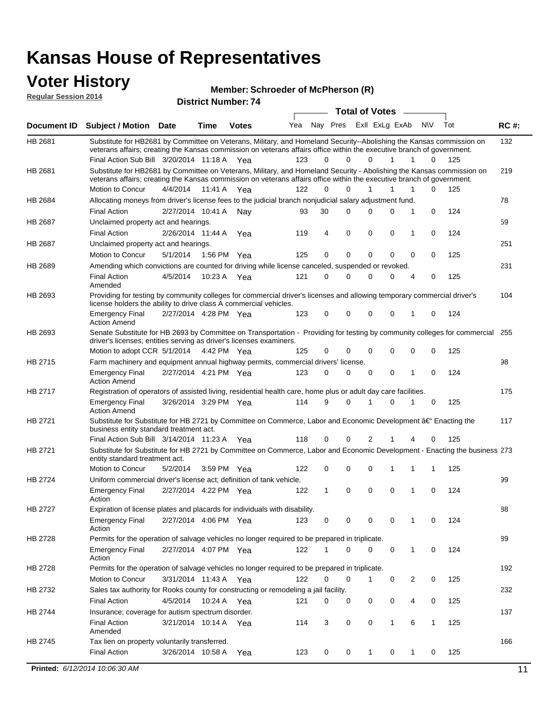#### **Voter History**

**Regular Session 2014**

#### **Member: Schroeder of McPherson (R)**

| negurur ocssion zo i <del>⊣</del> |                                                                                                                                                                                                                                                 |                       |             | <b>District Number: 74</b> |     |             |             |                       |             |                |             |     |             |
|-----------------------------------|-------------------------------------------------------------------------------------------------------------------------------------------------------------------------------------------------------------------------------------------------|-----------------------|-------------|----------------------------|-----|-------------|-------------|-----------------------|-------------|----------------|-------------|-----|-------------|
|                                   |                                                                                                                                                                                                                                                 |                       |             |                            |     |             |             | <b>Total of Votes</b> |             |                |             |     |             |
| <b>Document ID</b>                | <b>Subject / Motion Date</b>                                                                                                                                                                                                                    |                       | <b>Time</b> | <b>Votes</b>               | Yea |             | Nay Pres    | Exll ExLg ExAb        |             |                | <b>NV</b>   | Tot | <b>RC#:</b> |
| HB 2681                           | Substitute for HB2681 by Committee on Veterans, Military, and Homeland Security--Abolishing the Kansas commission on<br>veterans affairs; creating the Kansas commission on veterans affairs office within the executive branch of government.  |                       |             |                            |     |             |             |                       |             |                |             |     | 132         |
|                                   | Final Action Sub Bill 3/20/2014 11:18 A Yea                                                                                                                                                                                                     |                       |             |                            | 123 | $\Omega$    | 0           | $\Omega$              | 1           | 1              | 0           | 125 |             |
| HB 2681                           | Substitute for HB2681 by Committee on Veterans, Military, and Homeland Security - Abolishing the Kansas commission on<br>veterans affairs; creating the Kansas commission on veterans affairs office within the executive branch of government. |                       |             |                            |     |             |             |                       |             |                |             |     | 219         |
|                                   | Motion to Concur                                                                                                                                                                                                                                | 4/4/2014              | 11:41 A     | Yea                        | 122 | $\Omega$    | 0           | 1                     | 1           | 1              | 0           | 125 |             |
| HB 2684                           | Allocating moneys from driver's license fees to the judicial branch nonjudicial salary adjustment fund.                                                                                                                                         |                       |             |                            |     |             |             |                       |             |                |             |     | 78          |
|                                   | <b>Final Action</b>                                                                                                                                                                                                                             | 2/27/2014 10:41 A     |             | Nav                        | 93  | 30          | $\Omega$    | $\Omega$              | 0           | 1              | 0           | 124 |             |
| HB 2687                           | Unclaimed property act and hearings.                                                                                                                                                                                                            |                       |             |                            |     |             |             |                       |             |                |             |     | 59          |
|                                   | <b>Final Action</b>                                                                                                                                                                                                                             | 2/26/2014 11:44 A     |             | Yea                        | 119 | 4           | $\mathbf 0$ | $\mathbf 0$           | 0           | 1              | 0           | 124 |             |
| HB 2687                           | Unclaimed property act and hearings.                                                                                                                                                                                                            |                       |             |                            |     |             |             |                       |             |                |             |     | 251         |
|                                   | Motion to Concur                                                                                                                                                                                                                                | 5/1/2014              | 1:56 PM     | Yea                        | 125 | $\mathbf 0$ | $\mathbf 0$ | $\mathbf 0$           | 0           | 0              | 0           | 125 |             |
| HB 2689                           | Amending which convictions are counted for driving while license canceled, suspended or revoked.                                                                                                                                                |                       |             |                            |     |             |             |                       |             |                |             |     | 231         |
|                                   | <b>Final Action</b><br>Amended                                                                                                                                                                                                                  | 4/5/2014              | 10:23 A     | Yea                        | 121 | 0           | 0           | $\Omega$              | 0           | 4              | $\mathbf 0$ | 125 |             |
| HB 2693                           | Providing for testing by community colleges for commercial driver's licenses and allowing temporary commercial driver's<br>license holders the ability to drive class A commercial vehicles.                                                    |                       |             |                            |     |             |             |                       |             |                |             |     | 104         |
|                                   | <b>Emergency Final</b><br><b>Action Amend</b>                                                                                                                                                                                                   | 2/27/2014 4:28 PM Yea |             |                            | 123 | 0           | 0           | $\Omega$              | 0           | 1              | 0           | 124 |             |
| HB 2693                           | Senate Substitute for HB 2693 by Committee on Transportation - Providing for testing by community colleges for commercial<br>driver's licenses; entities serving as driver's licenses examiners.                                                |                       |             |                            |     |             |             |                       |             |                |             |     | 255         |
|                                   | Motion to adopt CCR 5/1/2014                                                                                                                                                                                                                    |                       |             | 4:42 PM Yea                | 125 | 0           | 0           | 0                     | $\Omega$    | 0              | 0           | 125 |             |
| HB 2715                           | Farm machinery and equipment annual highway permits, commercial drivers' license.                                                                                                                                                               |                       |             |                            |     |             |             |                       |             |                |             |     | 98          |
|                                   | <b>Emergency Final</b><br><b>Action Amend</b>                                                                                                                                                                                                   | 2/27/2014 4:21 PM Yea |             |                            | 123 | 0           | 0           | 0                     | $\mathbf 0$ | 1              | 0           | 124 |             |
| HB 2717                           | Registration of operators of assisted living, residential health care, home plus or adult day care facilities.                                                                                                                                  |                       |             |                            |     |             |             |                       |             |                |             |     | 175         |
|                                   | <b>Emergency Final</b><br><b>Action Amend</b>                                                                                                                                                                                                   | 3/26/2014 3:29 PM Yea |             |                            | 114 | 9           | $\Omega$    |                       | 0           | 1              | 0           | 125 |             |
| HB 2721                           | Substitute for Substitute for HB 2721 by Committee on Commerce, Labor and Economic Development †Enacting the<br>business entity standard treatment act.                                                                                         |                       |             |                            |     |             |             |                       |             |                |             |     | 117         |
|                                   | Final Action Sub Bill 3/14/2014 11:23 A Yea                                                                                                                                                                                                     |                       |             |                            | 118 | 0           | 0           | 2                     |             |                | 0           | 125 |             |
| HB 2721                           | Substitute for Substitute for HB 2721 by Committee on Commerce, Labor and Economic Development - Enacting the business 273<br>entity standard treatment act.                                                                                    |                       |             |                            |     |             |             |                       |             |                |             |     |             |
|                                   | Motion to Concur                                                                                                                                                                                                                                | 5/2/2014              |             | 3:59 PM Yea                | 122 | 0           | 0           | 0                     |             | 1              | 1           | 125 |             |
| HB 2724                           | Uniform commercial driver's license act; definition of tank vehicle.                                                                                                                                                                            |                       |             |                            |     |             |             |                       |             |                |             |     | 99          |
|                                   | <b>Emergency Final</b><br>Action                                                                                                                                                                                                                | 2/27/2014 4:22 PM Yea |             |                            | 122 | 1           | 0           | 0                     | $\mathbf 0$ | 1              | $\mathbf 0$ | 124 |             |
| <b>HB 2727</b>                    | Expiration of license plates and placards for individuals with disability.                                                                                                                                                                      |                       |             |                            |     |             |             |                       |             |                |             |     | 88          |
|                                   | <b>Emergency Final</b><br>Action                                                                                                                                                                                                                | 2/27/2014 4:06 PM Yea |             |                            | 123 | 0           | 0           | 0                     | 0           | 1              | 0           | 124 |             |
| HB 2728                           | Permits for the operation of salvage vehicles no longer required to be prepared in triplicate.                                                                                                                                                  |                       |             |                            |     |             |             |                       |             |                |             |     | 89          |
|                                   | <b>Emergency Final</b><br>Action                                                                                                                                                                                                                | 2/27/2014 4:07 PM Yea |             |                            | 122 | 1           | 0           | 0                     | 0           | 1              | 0           | 124 |             |
| HB 2728                           | Permits for the operation of salvage vehicles no longer required to be prepared in triplicate.                                                                                                                                                  |                       |             |                            |     |             |             |                       |             |                |             |     | 192         |
|                                   | Motion to Concur                                                                                                                                                                                                                                | 3/31/2014 11:43 A Yea |             |                            | 122 | 0           | 0           | 1                     | 0           | $\overline{2}$ | 0           | 125 |             |
| HB 2732                           | Sales tax authority for Rooks county for constructing or remodeling a jail facility.                                                                                                                                                            |                       |             |                            |     |             |             |                       |             |                |             |     | 232         |
|                                   | <b>Final Action</b>                                                                                                                                                                                                                             | 4/5/2014              |             | 10:24 A Yea                | 121 | 0           | 0           | 0                     | 0           | 4              | 0           | 125 |             |
| HB 2744                           | Insurance; coverage for autism spectrum disorder.                                                                                                                                                                                               |                       |             |                            |     |             |             |                       |             |                |             |     | 137         |
|                                   | <b>Final Action</b><br>Amended                                                                                                                                                                                                                  | 3/21/2014 10:14 A Yea |             |                            | 114 | 3           | 0           | 0                     | 1           | 6              | 1           | 125 |             |
| HB 2745                           | Tax lien on property voluntarily transferred.                                                                                                                                                                                                   |                       |             |                            |     |             |             |                       |             |                |             |     | 166         |
|                                   | <b>Final Action</b>                                                                                                                                                                                                                             | 3/26/2014 10:58 A     |             | Yea                        | 123 | 0           | 0           | $\mathbf{1}$          | 0           | 1              | 0           | 125 |             |

**Printed:**  $6/12/2014$  10:06:30 AM 11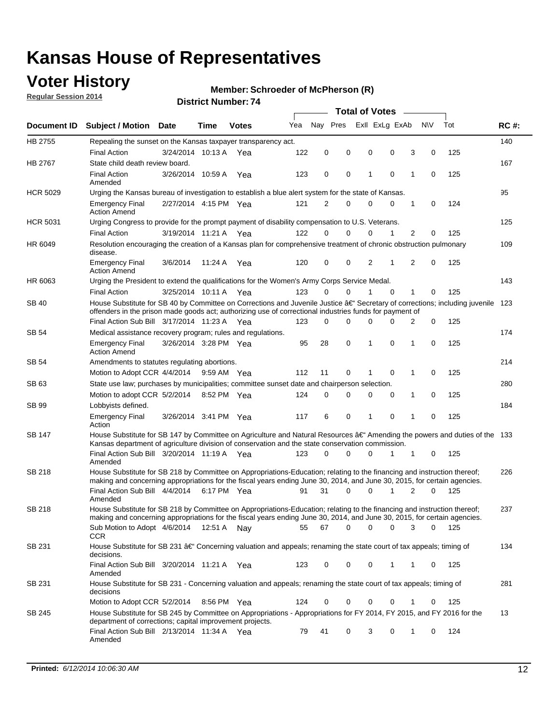### **Voter History**

**Regular Session 2014**

#### **Member: Schroeder of McPherson (R)**

|                    |                                                                                                                                                                                                                                      |                                                                                                                   |             |              |     | <b>Total of Votes</b> |          |   |  |                |                |             |     |             |
|--------------------|--------------------------------------------------------------------------------------------------------------------------------------------------------------------------------------------------------------------------------------|-------------------------------------------------------------------------------------------------------------------|-------------|--------------|-----|-----------------------|----------|---|--|----------------|----------------|-------------|-----|-------------|
| <b>Document ID</b> | <b>Subject / Motion Date</b>                                                                                                                                                                                                         |                                                                                                                   | Time        | <b>Votes</b> | Yea | Nav Pres              |          |   |  | Exll ExLg ExAb | <b>NV</b>      |             | Tot | <b>RC#:</b> |
| HB 2755            | Repealing the sunset on the Kansas taxpayer transparency act.                                                                                                                                                                        |                                                                                                                   |             |              |     |                       |          |   |  |                |                |             |     | 140         |
|                    | <b>Final Action</b>                                                                                                                                                                                                                  | 3/24/2014 10:13 A                                                                                                 |             | Yea          | 122 | 0                     | 0        | 0 |  | 0              | 3              | 0           | 125 |             |
| HB 2767            | State child death review board.                                                                                                                                                                                                      |                                                                                                                   |             |              |     |                       |          |   |  |                |                |             |     | 167         |
|                    | <b>Final Action</b><br>Amended                                                                                                                                                                                                       | 3/26/2014 10:59 A                                                                                                 |             | Yea          | 123 | 0                     | 0        | 1 |  | $\mathbf 0$    | 1              | 0           | 125 |             |
| <b>HCR 5029</b>    | Urging the Kansas bureau of investigation to establish a blue alert system for the state of Kansas.                                                                                                                                  |                                                                                                                   |             |              |     |                       |          |   |  |                |                |             |     | 95          |
|                    | <b>Emergency Final</b><br><b>Action Amend</b>                                                                                                                                                                                        | 2/27/2014 4:15 PM Yea                                                                                             |             |              | 121 | 2                     | 0        | 0 |  | 0              | 1              | 0           | 124 |             |
| <b>HCR 5031</b>    | Urging Congress to provide for the prompt payment of disability compensation to U.S. Veterans.                                                                                                                                       |                                                                                                                   |             |              |     |                       |          |   |  |                |                |             |     | 125         |
|                    | <b>Final Action</b>                                                                                                                                                                                                                  | 3/19/2014 11:21 A Yea                                                                                             |             |              | 122 | $\Omega$              | $\Omega$ | 0 |  | 1              | 2              | 0           | 125 |             |
| HR 6049            | disease.                                                                                                                                                                                                                             | Resolution encouraging the creation of a Kansas plan for comprehensive treatment of chronic obstruction pulmonary |             |              |     |                       |          |   |  |                |                |             | 109 |             |
|                    | <b>Emergency Final</b><br><b>Action Amend</b>                                                                                                                                                                                        | 3/6/2014                                                                                                          | 11:24 A     | Yea          | 120 | 0                     | 0        | 2 |  | 1              | $\overline{2}$ | $\mathbf 0$ | 125 |             |
| HR 6063            | Urging the President to extend the qualifications for the Women's Army Corps Service Medal.                                                                                                                                          |                                                                                                                   |             |              |     |                       |          |   |  |                |                |             |     | 143         |
|                    | <b>Final Action</b>                                                                                                                                                                                                                  | 3/25/2014 10:11 A Yea                                                                                             |             |              | 123 | $\Omega$              | $\Omega$ | 1 |  | $\Omega$       | 1              | 0           | 125 |             |
| SB 40              | House Substitute for SB 40 by Committee on Corrections and Juvenile Justice †Secretary of corrections; including juvenile<br>offenders in the prison made goods act; authorizing use of correctional industries funds for payment of |                                                                                                                   |             |              |     |                       |          |   |  |                |                |             |     | 123         |
|                    | Final Action Sub Bill 3/17/2014 11:23 A Yea                                                                                                                                                                                          |                                                                                                                   |             |              | 123 | 0                     | 0        | 0 |  | $\Omega$       | 2              | 0           | 125 |             |
| SB 54              | Medical assistance recovery program; rules and regulations.                                                                                                                                                                          |                                                                                                                   |             |              |     |                       |          |   |  |                |                |             |     | 174         |
|                    | <b>Emergency Final</b><br><b>Action Amend</b>                                                                                                                                                                                        | 3/26/2014 3:28 PM Yea                                                                                             |             |              | 95  | 28                    | 0        | 1 |  | 0              | 1              | 0           | 125 |             |
| SB 54              | Amendments to statutes regulating abortions.                                                                                                                                                                                         |                                                                                                                   |             |              |     |                       |          |   |  |                |                |             |     | 214         |
|                    | Motion to Adopt CCR 4/4/2014                                                                                                                                                                                                         |                                                                                                                   | 9:59 AM Yea |              | 112 | 11                    | 0        |   |  | $\mathbf 0$    | 1              | 0           | 125 |             |
| SB 63              | State use law; purchases by municipalities; committee sunset date and chairperson selection.                                                                                                                                         |                                                                                                                   |             |              |     |                       |          |   |  |                |                | 280         |     |             |
|                    | Motion to adopt CCR 5/2/2014                                                                                                                                                                                                         |                                                                                                                   |             | 8:52 PM Yea  | 124 | 0                     | 0        | 0 |  | 0              | 1              | 0           | 125 |             |
| SB 99              | Lobbyists defined.                                                                                                                                                                                                                   |                                                                                                                   |             |              |     |                       |          |   |  |                |                |             |     | 184         |
|                    | <b>Emergency Final</b><br>Action                                                                                                                                                                                                     | 3/26/2014 3:41 PM Yea                                                                                             |             |              | 117 | 6                     | 0        | 1 |  | 0              | 1              | 0           | 125 |             |
| SB 147             | House Substitute for SB 147 by Committee on Agriculture and Natural Resources †Amending the powers and duties of the 133<br>Kansas department of agriculture division of conservation and the state conservation commission.         |                                                                                                                   |             |              |     |                       |          |   |  |                |                |             |     |             |
|                    | Final Action Sub Bill 3/20/2014 11:19 A Yea<br>Amended                                                                                                                                                                               |                                                                                                                   |             |              | 123 | 0                     | $\Omega$ | 0 |  | 1              | 1              | 0           | 125 |             |
| <b>SB 218</b>      | House Substitute for SB 218 by Committee on Appropriations-Education; relating to the financing and instruction thereof;                                                                                                             |                                                                                                                   |             |              |     |                       |          |   |  |                |                |             |     | 226         |
|                    | making and concerning appropriations for the fiscal years ending June 30, 2014, and June 30, 2015, for certain agencies.<br>Final Action Sub Bill 4/4/2014                                                                           |                                                                                                                   |             | 6:17 PM Yea  | 91  | 31                    | $\Omega$ | 0 |  | 1              | $\overline{2}$ | $\Omega$    | 125 |             |
|                    | Amended                                                                                                                                                                                                                              |                                                                                                                   |             |              |     |                       |          |   |  |                |                |             |     |             |
| <b>SB 218</b>      | House Substitute for SB 218 by Committee on Appropriations-Education; relating to the financing and instruction thereof;                                                                                                             |                                                                                                                   |             |              |     |                       |          |   |  |                |                |             |     | 237         |
|                    | making and concerning appropriations for the fiscal years ending June 30, 2014, and June 30, 2015, for certain agencies.                                                                                                             |                                                                                                                   |             |              |     |                       |          |   |  |                |                |             |     |             |
|                    | Sub Motion to Adopt 4/6/2014 12:51 A Nay<br><b>CCR</b>                                                                                                                                                                               |                                                                                                                   |             |              | 55  | 67                    | 0        | 0 |  | 0              | 3              | 0           | 125 |             |
| SB 231             | House Substitute for SB 231 †Concerning valuation and appeals; renaming the state court of tax appeals; timing of<br>decisions.                                                                                                      |                                                                                                                   |             |              |     |                       |          |   |  |                |                |             |     | 134         |
|                    | Final Action Sub Bill 3/20/2014 11:21 A Yea<br>Amended                                                                                                                                                                               |                                                                                                                   |             |              | 123 | 0                     | 0        | 0 |  | 1              | 1              | 0           | 125 |             |
| SB 231             | House Substitute for SB 231 - Concerning valuation and appeals; renaming the state court of tax appeals; timing of<br>decisions                                                                                                      |                                                                                                                   |             |              |     |                       |          |   |  |                |                |             |     | 281         |
|                    | Motion to Adopt CCR 5/2/2014                                                                                                                                                                                                         |                                                                                                                   |             | 8:56 PM Yea  | 124 | 0                     | 0        | 0 |  | $\mathbf 0$    | 1              | 0           | 125 |             |
| SB 245             | House Substitute for SB 245 by Committee on Appropriations - Appropriations for FY 2014, FY 2015, and FY 2016 for the<br>department of corrections; capital improvement projects.                                                    |                                                                                                                   |             |              |     |                       |          |   |  |                |                |             |     | 13          |
|                    | Final Action Sub Bill 2/13/2014 11:34 A Yea<br>Amended                                                                                                                                                                               |                                                                                                                   |             |              | 79  | 41                    | 0        | 3 |  | 0              | 1              | 0           | 124 |             |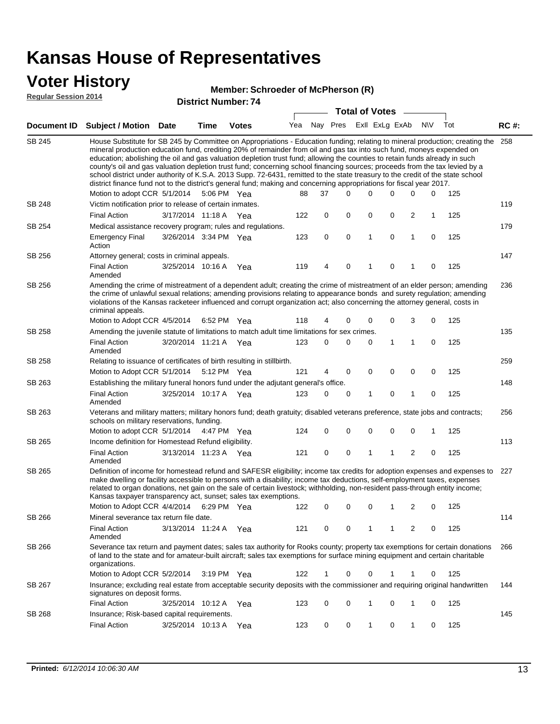#### **Voter History**

#### **Member: Schroeder of McPherson (R)**

**Regular Session 2014**

|               | <b>Total of Votes</b>                                                                                                                                                                                                                                                                                                                                                                                                                                                                                                                                                                                                                                                                                                                                                         |                       |      |              |  |     |             |             |  |                |             |                |           |     |             |
|---------------|-------------------------------------------------------------------------------------------------------------------------------------------------------------------------------------------------------------------------------------------------------------------------------------------------------------------------------------------------------------------------------------------------------------------------------------------------------------------------------------------------------------------------------------------------------------------------------------------------------------------------------------------------------------------------------------------------------------------------------------------------------------------------------|-----------------------|------|--------------|--|-----|-------------|-------------|--|----------------|-------------|----------------|-----------|-----|-------------|
|               | Document ID Subject / Motion Date                                                                                                                                                                                                                                                                                                                                                                                                                                                                                                                                                                                                                                                                                                                                             |                       | Time | <b>Votes</b> |  | Yea | Nay Pres    |             |  | Exll ExLg ExAb |             |                | <b>NV</b> | Tot | <b>RC#:</b> |
| <b>SB 245</b> | House Substitute for SB 245 by Committee on Appropriations - Education funding; relating to mineral production; creating the<br>mineral production education fund, crediting 20% of remainder from oil and gas tax into such fund, moneys expended on<br>education; abolishing the oil and gas valuation depletion trust fund; allowing the counties to retain funds already in such<br>county's oil and gas valuation depletion trust fund; concerning school financing sources; proceeds from the tax levied by a<br>school district under authority of K.S.A. 2013 Supp. 72-6431, remitted to the state treasury to the credit of the state school<br>district finance fund not to the district's general fund; making and concerning appropriations for fiscal year 2017. |                       |      |              |  |     |             |             |  |                |             |                |           |     | 258         |
|               | Motion to adopt CCR 5/1/2014 5:06 PM Yea                                                                                                                                                                                                                                                                                                                                                                                                                                                                                                                                                                                                                                                                                                                                      |                       |      |              |  | 88  | 37          | $\Omega$    |  | 0              | 0           | 0              | 0         | 125 |             |
| <b>SB 248</b> | Victim notification prior to release of certain inmates.                                                                                                                                                                                                                                                                                                                                                                                                                                                                                                                                                                                                                                                                                                                      |                       |      |              |  |     |             |             |  |                |             |                |           |     | 119         |
|               | <b>Final Action</b>                                                                                                                                                                                                                                                                                                                                                                                                                                                                                                                                                                                                                                                                                                                                                           | 3/17/2014 11:18 A Yea |      |              |  | 122 | 0           | 0           |  | 0              | 0           | 2              | 1         | 125 |             |
| SB 254        | Medical assistance recovery program; rules and regulations.                                                                                                                                                                                                                                                                                                                                                                                                                                                                                                                                                                                                                                                                                                                   |                       |      |              |  |     |             |             |  |                |             |                |           |     | 179         |
|               | <b>Emergency Final</b><br>Action                                                                                                                                                                                                                                                                                                                                                                                                                                                                                                                                                                                                                                                                                                                                              | 3/26/2014 3:34 PM Yea |      |              |  | 123 | $\mathbf 0$ | 0           |  | 1              | 0           | 1              | 0         | 125 |             |
| SB 256        | Attorney general; costs in criminal appeals.                                                                                                                                                                                                                                                                                                                                                                                                                                                                                                                                                                                                                                                                                                                                  |                       |      |              |  |     |             |             |  |                |             |                | 147       |     |             |
|               | <b>Final Action</b><br>Amended                                                                                                                                                                                                                                                                                                                                                                                                                                                                                                                                                                                                                                                                                                                                                | 3/25/2014 10:16 A     |      | Yea          |  | 119 | 4           | 0           |  | 1              | 0           | 1              | 0         | 125 |             |
| SB 256        | Amending the crime of mistreatment of a dependent adult; creating the crime of mistreatment of an elder person; amending<br>the crime of unlawful sexual relations; amending provisions relating to appearance bonds and surety regulation; amending<br>violations of the Kansas racketeer influenced and corrupt organization act; also concerning the attorney general, costs in<br>criminal appeals.                                                                                                                                                                                                                                                                                                                                                                       |                       |      |              |  |     |             |             |  |                |             |                |           |     | 236         |
|               | Motion to Adopt CCR 4/5/2014                                                                                                                                                                                                                                                                                                                                                                                                                                                                                                                                                                                                                                                                                                                                                  |                       |      | 6:52 PM Yea  |  | 118 | 4           | 0           |  | 0              | 0           | 3              | 0         | 125 |             |
| SB 258        | Amending the juvenile statute of limitations to match adult time limitations for sex crimes.                                                                                                                                                                                                                                                                                                                                                                                                                                                                                                                                                                                                                                                                                  |                       |      |              |  |     |             |             |  |                |             |                |           |     | 135         |
|               | <b>Final Action</b><br>Amended                                                                                                                                                                                                                                                                                                                                                                                                                                                                                                                                                                                                                                                                                                                                                | 3/20/2014 11:21 A Yea |      |              |  | 123 | 0           | $\mathbf 0$ |  | 0              | 1           | $\mathbf{1}$   | 0         | 125 |             |
| SB 258        | Relating to issuance of certificates of birth resulting in stillbirth.                                                                                                                                                                                                                                                                                                                                                                                                                                                                                                                                                                                                                                                                                                        |                       |      |              |  |     |             |             |  |                |             | 259            |           |     |             |
|               | Motion to Adopt CCR 5/1/2014                                                                                                                                                                                                                                                                                                                                                                                                                                                                                                                                                                                                                                                                                                                                                  |                       |      | 5:12 PM Yea  |  | 121 | 4           | 0           |  | 0              | $\mathbf 0$ | 0              | 0         | 125 |             |
| SB 263        | Establishing the military funeral honors fund under the adjutant general's office.                                                                                                                                                                                                                                                                                                                                                                                                                                                                                                                                                                                                                                                                                            |                       |      |              |  |     |             |             |  |                |             |                |           |     | 148         |
|               | <b>Final Action</b><br>Amended                                                                                                                                                                                                                                                                                                                                                                                                                                                                                                                                                                                                                                                                                                                                                | 3/25/2014 10:17 A Yea |      |              |  | 123 | 0           | 0           |  | 1              | 0           | 1              | 0         | 125 |             |
| SB 263        | Veterans and military matters; military honors fund; death gratuity; disabled veterans preference, state jobs and contracts;<br>schools on military reservations, funding.                                                                                                                                                                                                                                                                                                                                                                                                                                                                                                                                                                                                    |                       |      |              |  |     |             |             |  |                |             |                |           |     | 256         |
|               | Motion to adopt CCR 5/1/2014                                                                                                                                                                                                                                                                                                                                                                                                                                                                                                                                                                                                                                                                                                                                                  |                       |      | 4:47 PM Yea  |  | 124 | 0           | $\mathbf 0$ |  | 0              | 0           | 0              | 1         | 125 |             |
| SB 265        | Income definition for Homestead Refund eligibility.                                                                                                                                                                                                                                                                                                                                                                                                                                                                                                                                                                                                                                                                                                                           |                       |      |              |  |     |             |             |  |                |             |                |           |     | 113         |
|               | <b>Final Action</b><br>Amended                                                                                                                                                                                                                                                                                                                                                                                                                                                                                                                                                                                                                                                                                                                                                | 3/13/2014 11:23 A Yea |      |              |  | 121 | $\mathbf 0$ | 0           |  | 1              | 1           | $\overline{2}$ | 0         | 125 |             |
| SB 265        | Definition of income for homestead refund and SAFESR eligibility; income tax credits for adoption expenses and expenses to<br>make dwelling or facility accessible to persons with a disability; income tax deductions, self-employment taxes, expenses<br>related to organ donations, net gain on the sale of certain livestock; withholding, non-resident pass-through entity income;<br>Kansas taxpayer transparency act, sunset; sales tax exemptions.                                                                                                                                                                                                                                                                                                                    |                       |      |              |  |     |             |             |  |                |             |                |           |     | 227         |
|               | Motion to Adopt CCR 4/4/2014 6:29 PM Yea                                                                                                                                                                                                                                                                                                                                                                                                                                                                                                                                                                                                                                                                                                                                      |                       |      |              |  | 122 | 0           | 0           |  | 0              | 1           | 2              | 0         | 125 |             |
| SB 266        | Mineral severance tax return file date.                                                                                                                                                                                                                                                                                                                                                                                                                                                                                                                                                                                                                                                                                                                                       |                       |      |              |  |     |             |             |  |                |             |                |           |     | 114         |
|               | <b>Final Action</b><br>Amended                                                                                                                                                                                                                                                                                                                                                                                                                                                                                                                                                                                                                                                                                                                                                | 3/13/2014 11:24 A Yea |      |              |  | 121 | 0           | 0           |  | 1              | 1           | 2              | 0         | 125 |             |
| SB 266        | Severance tax return and payment dates; sales tax authority for Rooks county; property tax exemptions for certain donations<br>of land to the state and for amateur-built aircraft; sales tax exemptions for surface mining equipment and certain charitable<br>organizations.                                                                                                                                                                                                                                                                                                                                                                                                                                                                                                |                       |      |              |  |     |             |             |  |                |             |                |           |     | 266         |
|               | Motion to Adopt CCR 5/2/2014                                                                                                                                                                                                                                                                                                                                                                                                                                                                                                                                                                                                                                                                                                                                                  |                       |      | 3:19 PM Yea  |  | 122 | 1           | 0           |  | 0              | 1           | 1              | 0         | 125 |             |
| SB 267        | Insurance; excluding real estate from acceptable security deposits with the commissioner and requiring original handwritten<br>signatures on deposit forms.                                                                                                                                                                                                                                                                                                                                                                                                                                                                                                                                                                                                                   |                       |      |              |  |     |             |             |  |                |             |                |           |     | 144         |
|               | <b>Final Action</b>                                                                                                                                                                                                                                                                                                                                                                                                                                                                                                                                                                                                                                                                                                                                                           | 3/25/2014 10:12 A Yea |      |              |  | 123 | 0           | 0           |  | 1              | 0           | 1              | 0         | 125 |             |
| SB 268        | Insurance; Risk-based capital requirements.                                                                                                                                                                                                                                                                                                                                                                                                                                                                                                                                                                                                                                                                                                                                   |                       |      |              |  |     |             |             |  |                |             |                |           |     | 145         |
|               | <b>Final Action</b>                                                                                                                                                                                                                                                                                                                                                                                                                                                                                                                                                                                                                                                                                                                                                           | 3/25/2014 10:13 A     |      | Yea          |  | 123 | 0           | 0           |  | 1              | 0           | 1              | 0         | 125 |             |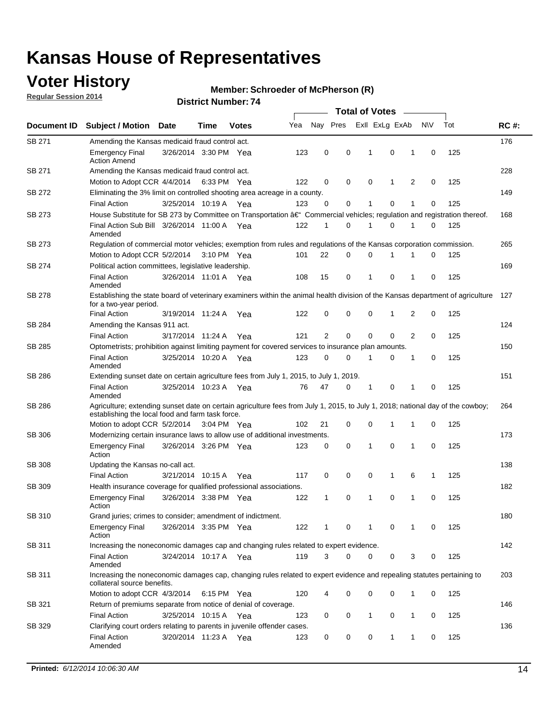### **Voter History**

**Regular Session 2014**

#### **Member: Schroeder of McPherson (R)**

|               |                                                                                                                                                                                    |                       |      |              |     | <b>Total of Votes</b> |             |                |              |   |             |     |             |  |
|---------------|------------------------------------------------------------------------------------------------------------------------------------------------------------------------------------|-----------------------|------|--------------|-----|-----------------------|-------------|----------------|--------------|---|-------------|-----|-------------|--|
| Document ID   | <b>Subject / Motion Date</b>                                                                                                                                                       |                       | Time | <b>Votes</b> | Yea | Nay Pres              |             | Exll ExLg ExAb |              |   | N\V         | Tot | <b>RC#:</b> |  |
| SB 271        | Amending the Kansas medicaid fraud control act.                                                                                                                                    |                       |      |              |     |                       |             |                |              |   |             |     | 176         |  |
|               | <b>Emergency Final</b><br><b>Action Amend</b>                                                                                                                                      | 3/26/2014 3:30 PM Yea |      |              | 123 | 0                     | 0           | 1              | 0            | 1 | $\mathbf 0$ | 125 |             |  |
| SB 271        | Amending the Kansas medicaid fraud control act.                                                                                                                                    |                       |      |              |     |                       |             |                |              |   |             |     | 228         |  |
|               | Motion to Adopt CCR 4/4/2014 6:33 PM Yea                                                                                                                                           |                       |      |              | 122 | 0                     | 0           | 0              | 1            | 2 | 0           | 125 |             |  |
| SB 272        | Eliminating the 3% limit on controlled shooting area acreage in a county.                                                                                                          |                       |      |              |     |                       |             |                |              |   |             |     | 149         |  |
|               | <b>Final Action</b>                                                                                                                                                                | 3/25/2014 10:19 A Yea |      |              | 123 | 0                     | 0           | 1              | 0            | 1 | $\mathbf 0$ | 125 |             |  |
| SB 273        | House Substitute for SB 273 by Committee on Transportation †Commercial vehicles; regulation and registration thereof.                                                              |                       |      |              |     |                       |             |                |              |   |             |     | 168         |  |
|               | Final Action Sub Bill 3/26/2014 11:00 A Yea<br>Amended                                                                                                                             |                       |      |              | 122 | 1                     | 0           | 1              | 0            | 1 | 0           | 125 |             |  |
| SB 273        | Regulation of commercial motor vehicles; exemption from rules and regulations of the Kansas corporation commission.                                                                |                       |      |              |     |                       |             |                |              |   |             |     | 265         |  |
|               | Motion to Adopt CCR 5/2/2014 3:10 PM Yea                                                                                                                                           |                       |      |              | 101 | 22                    | 0           | 0              | 1            | 1 | 0           | 125 |             |  |
| SB 274        | Political action committees, legislative leadership.                                                                                                                               |                       |      |              |     |                       |             |                |              |   |             |     | 169         |  |
|               | <b>Final Action</b><br>Amended                                                                                                                                                     | 3/26/2014 11:01 A Yea |      |              | 108 | 15                    | 0           | -1             | 0            | 1 | 0           | 125 |             |  |
| <b>SB 278</b> | Establishing the state board of veterinary examiners within the animal health division of the Kansas department of agriculture<br>for a two-year period.                           |                       |      |              |     |                       |             |                |              |   |             |     | 127         |  |
|               | <b>Final Action</b>                                                                                                                                                                | 3/19/2014 11:24 A     |      | Yea          | 122 | 0                     | 0           | 0              | 1            | 2 | 0           | 125 |             |  |
| SB 284        | Amending the Kansas 911 act.                                                                                                                                                       |                       |      |              |     |                       |             |                |              |   |             |     | 124         |  |
|               | <b>Final Action</b>                                                                                                                                                                | 3/17/2014 11:24 A     |      | Yea          | 121 | $\overline{2}$        | $\mathbf 0$ | $\mathbf 0$    | $\mathbf 0$  | 2 | 0           | 125 |             |  |
| SB 285        | Optometrists; prohibition against limiting payment for covered services to insurance plan amounts.                                                                                 |                       |      |              |     |                       |             |                |              |   |             |     | 150         |  |
|               | <b>Final Action</b><br>Amended                                                                                                                                                     | 3/25/2014 10:20 A     |      | Yea          | 123 | 0                     | 0           | $\mathbf{1}$   | 0            | 1 | 0           | 125 |             |  |
| SB 286        | Extending sunset date on certain agriculture fees from July 1, 2015, to July 1, 2019.                                                                                              |                       |      |              |     |                       |             |                |              |   |             |     | 151         |  |
|               | <b>Final Action</b><br>Amended                                                                                                                                                     | 3/25/2014 10:23 A Yea |      |              | 76  | 47                    | 0           | $\mathbf{1}$   | 0            | 1 | 0           | 125 |             |  |
| SB 286        | Agriculture; extending sunset date on certain agriculture fees from July 1, 2015, to July 1, 2018; national day of the cowboy;<br>establishing the local food and farm task force. |                       |      |              |     |                       |             |                |              |   |             |     | 264         |  |
|               | Motion to adopt CCR 5/2/2014 3:04 PM Yea                                                                                                                                           |                       |      |              | 102 | 21                    | 0           | 0              | 1            | 1 | 0           | 125 |             |  |
| SB 306        | Modernizing certain insurance laws to allow use of additional investments.                                                                                                         |                       |      |              |     |                       |             |                |              |   |             |     | 173         |  |
|               | <b>Emergency Final</b><br>Action                                                                                                                                                   | 3/26/2014 3:26 PM Yea |      |              | 123 | 0                     | 0           | 1              | $\mathbf 0$  | 1 | 0           | 125 |             |  |
| <b>SB 308</b> | Updating the Kansas no-call act.                                                                                                                                                   |                       |      |              |     |                       |             |                |              |   |             |     | 138         |  |
|               | <b>Final Action</b>                                                                                                                                                                | 3/21/2014 10:15 A     |      | Yea          | 117 | 0                     | 0           | 0              | $\mathbf{1}$ | 6 | 1           | 125 |             |  |
| SB 309        | Health insurance coverage for qualified professional associations.                                                                                                                 |                       |      |              |     |                       |             |                |              |   |             |     | 182         |  |
|               | <b>Emergency Final</b><br>Action                                                                                                                                                   | 3/26/2014 3:38 PM Yea |      |              | 122 | 1                     | 0           | 1              | 0            | 1 | 0           | 125 |             |  |
| SB 310        | Grand juries; crimes to consider; amendment of indictment.                                                                                                                         |                       |      |              |     |                       |             |                |              |   |             |     | 180         |  |
|               | <b>Emergency Final</b><br>Action                                                                                                                                                   | 3/26/2014 3:35 PM Yea |      |              | 122 | 1                     | 0           | 1              | 0            | 1 | 0           | 125 |             |  |
| SB 311        | Increasing the noneconomic damages cap and changing rules related to expert evidence.                                                                                              |                       |      |              |     |                       |             |                |              |   |             |     | 142         |  |
|               | <b>Final Action</b><br>Amended                                                                                                                                                     | 3/24/2014 10:17 A Yea |      |              | 119 | 3                     | $\Omega$    | 0              | 0            | 3 | 0           | 125 |             |  |
| SB 311        | Increasing the noneconomic damages cap, changing rules related to expert evidence and repealing statutes pertaining to<br>collateral source benefits.                              |                       |      |              |     |                       |             |                |              |   |             |     | 203         |  |
|               | Motion to adopt CCR 4/3/2014 6:15 PM Yea                                                                                                                                           |                       |      |              | 120 | 4                     | 0           | 0              | 0            | 1 | 0           | 125 |             |  |
| SB 321        | Return of premiums separate from notice of denial of coverage.                                                                                                                     |                       |      |              |     |                       |             |                |              |   |             |     | 146         |  |
|               | <b>Final Action</b>                                                                                                                                                                | 3/25/2014 10:15 A Yea |      |              | 123 | 0                     | 0           | 1              | 0            | 1 | 0           | 125 |             |  |
| SB 329        | Clarifying court orders relating to parents in juvenile offender cases.<br><b>Final Action</b><br>Amended                                                                          | 3/20/2014 11:23 A Yea |      |              | 123 | 0                     | 0           | 0              | 1            | 1 | 0           | 125 | 136         |  |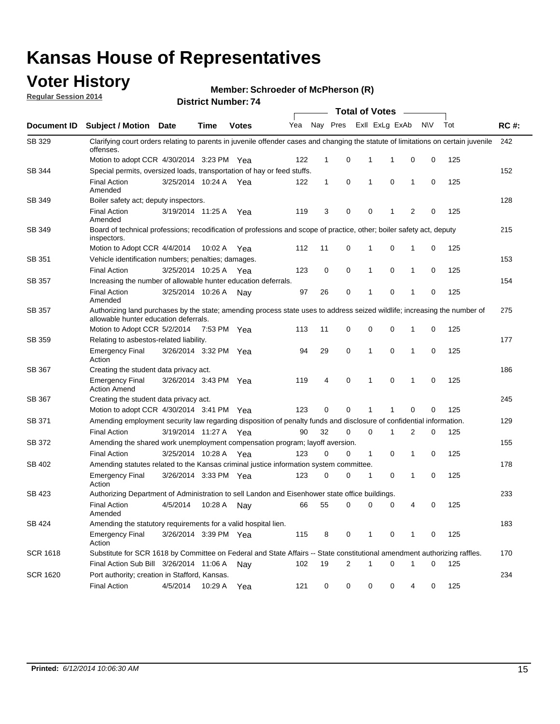#### **Voter History**

**Regular Session 2014**

**Member: Schroeder of McPherson (R)** 

|                 |                                                                                                                                                                           |                                              |             | DISTICT MAILING 1.74 |     |              |          | <b>Total of Votes</b> |   |                             |             |     |             |
|-----------------|---------------------------------------------------------------------------------------------------------------------------------------------------------------------------|----------------------------------------------|-------------|----------------------|-----|--------------|----------|-----------------------|---|-----------------------------|-------------|-----|-------------|
| Document ID     | <b>Subject / Motion Date</b>                                                                                                                                              |                                              | <b>Time</b> | <b>Votes</b>         | Yea |              | Nay Pres |                       |   | Exll ExLg ExAb              | <b>NV</b>   | Tot | <b>RC#:</b> |
| SB 329          | Clarifying court orders relating to parents in juvenile offender cases and changing the statute of limitations on certain juvenile<br>offenses.                           |                                              |             |                      |     |              |          |                       |   |                             |             |     | 242         |
|                 | Motion to adopt CCR 4/30/2014 3:23 PM Yea                                                                                                                                 |                                              |             |                      | 122 | $\mathbf{1}$ | 0        |                       | 1 | 0<br>1                      | 0           | 125 |             |
| SB 344          | Special permits, oversized loads, transportation of hay or feed stuffs.                                                                                                   |                                              |             |                      |     |              |          |                       |   |                             |             |     | 152         |
|                 | <b>Final Action</b><br>Amended                                                                                                                                            | 3/25/2014 10:24 A                            |             | Yea                  | 122 | $\mathbf{1}$ | 0        |                       | 1 | $\mathbf 0$<br>$\mathbf{1}$ | $\mathbf 0$ | 125 |             |
| SB 349          |                                                                                                                                                                           | 128<br>Boiler safety act; deputy inspectors. |             |                      |     |              |          |                       |   |                             |             |     |             |
|                 | <b>Final Action</b><br>Amended                                                                                                                                            | 3/19/2014 11:25 A                            |             | Yea                  | 119 | 3            | 0        |                       | 0 | $\overline{2}$<br>1         | 0           | 125 |             |
| SB 349          | Board of technical professions; recodification of professions and scope of practice, other; boiler safety act, deputy<br>inspectors.                                      |                                              |             |                      |     |              |          |                       |   |                             |             |     |             |
|                 | Motion to Adopt CCR 4/4/2014                                                                                                                                              |                                              | 10:02 A     | Yea                  | 112 | 11           | 0        |                       | 1 | 0<br>1                      | $\mathbf 0$ | 125 |             |
| SB 351          | Vehicle identification numbers; penalties; damages.                                                                                                                       |                                              |             |                      |     |              |          |                       |   |                             |             |     | 153         |
|                 | <b>Final Action</b>                                                                                                                                                       | 3/25/2014 10:25 A                            |             | Yea                  | 123 | 0            | 0        |                       | 1 | 0<br>$\mathbf{1}$           | $\mathbf 0$ | 125 |             |
| SB 357          | Increasing the number of allowable hunter education deferrals.                                                                                                            |                                              |             |                      |     |              |          |                       |   |                             |             |     | 154         |
|                 | <b>Final Action</b><br>Amended                                                                                                                                            | 3/25/2014 10:26 A                            |             | Nav                  | 97  | 26           | 0        |                       | 1 | $\mathbf 0$<br>$\mathbf 1$  | $\mathbf 0$ | 125 |             |
| SB 357          | 275<br>Authorizing land purchases by the state; amending process state uses to address seized wildlife; increasing the number of<br>allowable hunter education deferrals. |                                              |             |                      |     |              |          |                       |   |                             |             |     |             |
|                 | Motion to Adopt CCR 5/2/2014                                                                                                                                              |                                              | 7:53 PM Yea |                      | 113 | 11           | 0        |                       | 0 | 0<br>1                      | 0           | 125 |             |
| SB 359          | Relating to asbestos-related liability.                                                                                                                                   |                                              |             |                      |     |              |          |                       |   |                             | 177         |     |             |
|                 | <b>Emergency Final</b><br>Action                                                                                                                                          | 3/26/2014 3:32 PM Yea                        |             |                      | 94  | 29           | 0        |                       | 1 | $\mathbf 0$<br>$\mathbf{1}$ | $\mathbf 0$ | 125 |             |
| SB 367          | Creating the student data privacy act.                                                                                                                                    |                                              |             |                      |     |              |          |                       |   |                             |             |     | 186         |
|                 | <b>Emergency Final</b><br><b>Action Amend</b>                                                                                                                             | 3/26/2014 3:43 PM Yea                        |             |                      | 119 | 4            | 0        |                       | 1 | 0<br>1                      | $\mathbf 0$ | 125 |             |
| SB 367          | Creating the student data privacy act.                                                                                                                                    |                                              |             |                      |     |              |          |                       |   |                             |             |     | 245         |
|                 | Motion to adopt CCR 4/30/2014 3:41 PM Yea                                                                                                                                 |                                              |             |                      | 123 | 0            | 0        |                       | 1 | 0<br>1                      | $\Omega$    | 125 |             |
| SB 371          | Amending employment security law regarding disposition of penalty funds and disclosure of confidential information.                                                       |                                              |             |                      |     |              |          |                       |   |                             |             |     | 129         |
|                 | <b>Final Action</b>                                                                                                                                                       | 3/19/2014 11:27 A                            |             | Yea                  | 90  | 32           | 0        |                       | 0 | $\overline{2}$<br>1         | $\mathbf 0$ | 125 |             |
| SB 372          | Amending the shared work unemployment compensation program; layoff aversion.                                                                                              |                                              |             |                      |     |              |          |                       |   |                             |             |     | 155         |
|                 | <b>Final Action</b>                                                                                                                                                       | 3/25/2014 10:28 A                            |             | Yea                  | 123 | 0            | 0        |                       | 1 | 0<br>$\mathbf{1}$           | $\mathbf 0$ | 125 |             |
| SB 402          | Amending statutes related to the Kansas criminal justice information system committee.                                                                                    |                                              |             |                      |     |              |          |                       |   |                             |             |     | 178         |
|                 | <b>Emergency Final</b><br>Action                                                                                                                                          | 3/26/2014 3:33 PM Yea                        |             |                      | 123 | 0            | 0        |                       | 1 | 0<br>$\mathbf{1}$           | $\mathbf 0$ | 125 |             |
| SB 423          | Authorizing Department of Administration to sell Landon and Eisenhower state office buildings.                                                                            |                                              |             |                      |     |              |          |                       |   |                             |             |     | 233         |
|                 | <b>Final Action</b><br>Amended                                                                                                                                            | 4/5/2014                                     | 10:28 A     | Nay                  | 66  | 55           | 0        |                       | 0 | 0<br>4                      | 0           | 125 |             |
| SB 424          | Amending the statutory requirements for a valid hospital lien.                                                                                                            |                                              |             |                      |     |              |          |                       |   |                             |             |     | 183         |
|                 | <b>Emergency Final</b><br>3/26/2014 3:39 PM Yea<br>115<br>8<br>0<br>$\mathbf{1}$<br>0<br>$\mathbf{1}$<br>0<br>125<br>Action                                               |                                              |             |                      |     |              |          |                       |   |                             |             |     |             |
| <b>SCR 1618</b> | Substitute for SCR 1618 by Committee on Federal and State Affairs -- State constitutional amendment authorizing raffles.                                                  |                                              |             |                      |     |              |          |                       |   |                             |             |     | 170         |
|                 | Final Action Sub Bill 3/26/2014 11:06 A                                                                                                                                   |                                              |             | Nav                  | 102 | 19           | 2        |                       | 1 | 0<br>1                      | 0           | 125 |             |
| <b>SCR 1620</b> | Port authority; creation in Stafford, Kansas.                                                                                                                             |                                              |             |                      |     |              |          |                       |   |                             |             |     | 234         |
|                 | <b>Final Action</b>                                                                                                                                                       | 4/5/2014                                     | 10:29 A Yea |                      | 121 | 0            | 0        |                       | 0 | 0                           | 4<br>0      | 125 |             |